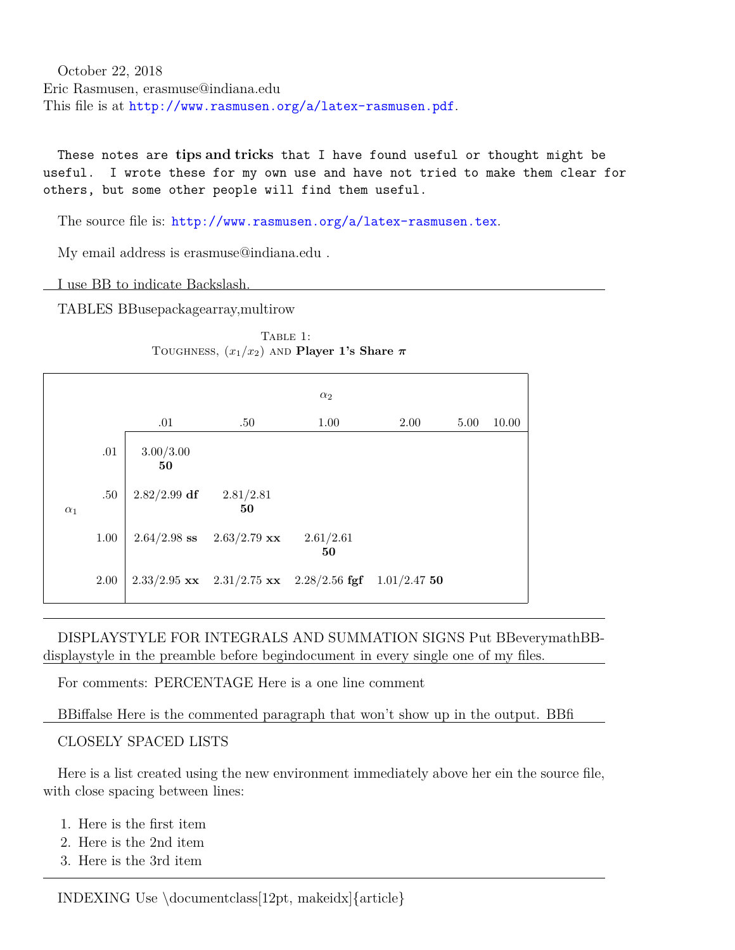October 22, 2018 Eric Rasmusen, erasmuse@indiana.edu This file is at <http://www.rasmusen.org/a/latex-rasmusen.pdf>.

These notes are **tips and tricks** that I have found useful or thought might be useful. I wrote these for my own use and have not tried to make them clear for others, but some other people will find them useful.

The source file is: <http://www.rasmusen.org/a/latex-rasmusen.tex>.

My email address is erasmuse@indiana.edu .

I use BB to indicate Backslash.

TABLES BBusepackagearray,multirow

|            |          |                 |                                               | $\alpha_2$      |                |      |       |
|------------|----------|-----------------|-----------------------------------------------|-----------------|----------------|------|-------|
|            |          | .01             | .50                                           | 1.00            | 2.00           | 5.00 | 10.00 |
|            | .01      | 3.00/3.00<br>50 |                                               |                 |                |      |       |
| $\alpha_1$ | $.50\,$  | $2.82/2.99$ df  | 2.81/2.81<br>50                               |                 |                |      |       |
|            | $1.00\,$ | $2.64/2.98$ ss  | $2.63/2.79$ xx                                | 2.61/2.61<br>50 |                |      |       |
|            | 2.00     |                 | $2.33/2.95$ xx $2.31/2.75$ xx $2.28/2.56$ fgf |                 | $1.01/2.47$ 50 |      |       |

TABLE 1: TOUGHNESS,  $(x_1/x_2)$  and **Player 1's Share**  $\pi$ 

DISPLAYSTYLE FOR INTEGRALS AND SUMMATION SIGNS Put BBeverymathBBdisplaystyle in the preamble before begindocument in every single one of my files.

For comments: PERCENTAGE Here is a one line comment

BBiffalse Here is the commented paragraph that won't show up in the output. BBfi

CLOSELY SPACED LISTS

Here is a list created using the new environment immediately above her ein the source file, with close spacing between lines:

- 1. Here is the first item
- 2. Here is the 2nd item
- 3. Here is the 3rd item

INDEXING Use \documentclass[12pt, makeidx]{article}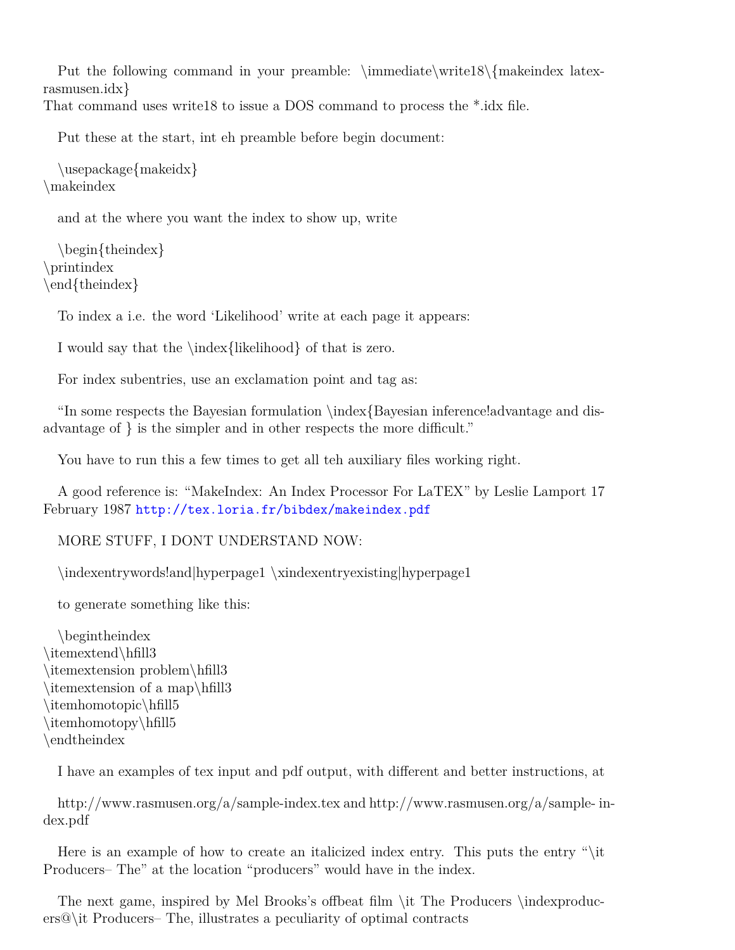Put the following command in your preamble:  $\imath\bar{\text{as}}{\text{makeindex}}$  latexrasmusen.idx} That command uses write18 to issue a DOS command to process the \*.idx file.

Put these at the start, int eh preamble before begin document:

```
\usepackage{makeidx}
\makeindex
```
and at the where you want the index to show up, write

```
\begin{theindex}
\printindex
\end{theindex}
```
To index a i.e. the word 'Likelihood' write at each page it appears:

I would say that the \index{likelihood} of that is zero.

For index subentries, use an exclamation point and tag as:

"In some respects the Bayesian formulation \index{Bayesian inference!advantage and disadvantage of } is the simpler and in other respects the more difficult."

You have to run this a few times to get all teh auxiliary files working right.

A good reference is: "MakeIndex: An Index Processor For LaTEX" by Leslie Lamport 17 February 1987 <http://tex.loria.fr/bibdex/makeindex.pdf>

MORE STUFF, I DONT UNDERSTAND NOW:

\indexentrywords!and|hyperpage1 \xindexentryexisting|hyperpage1

to generate something like this:

\begintheindex \itemextend\hfill3 \itemextension problem\hfill3 \itemextension of a map\hfill3 \itemhomotopic\hfill5 \itemhomotopy\hfill5 \endtheindex

I have an examples of tex input and pdf output, with different and better instructions, at

http://www.rasmusen.org/a/sample-index.tex and http://www.rasmusen.org/a/sample- index.pdf

Here is an example of how to create an italicized index entry. This puts the entry "\it Producers– The" at the location "producers" would have in the index.

The next game, inspired by Mel Brooks's offbeat film \it The Producers \indexproducers@\it Producers– The, illustrates a peculiarity of optimal contracts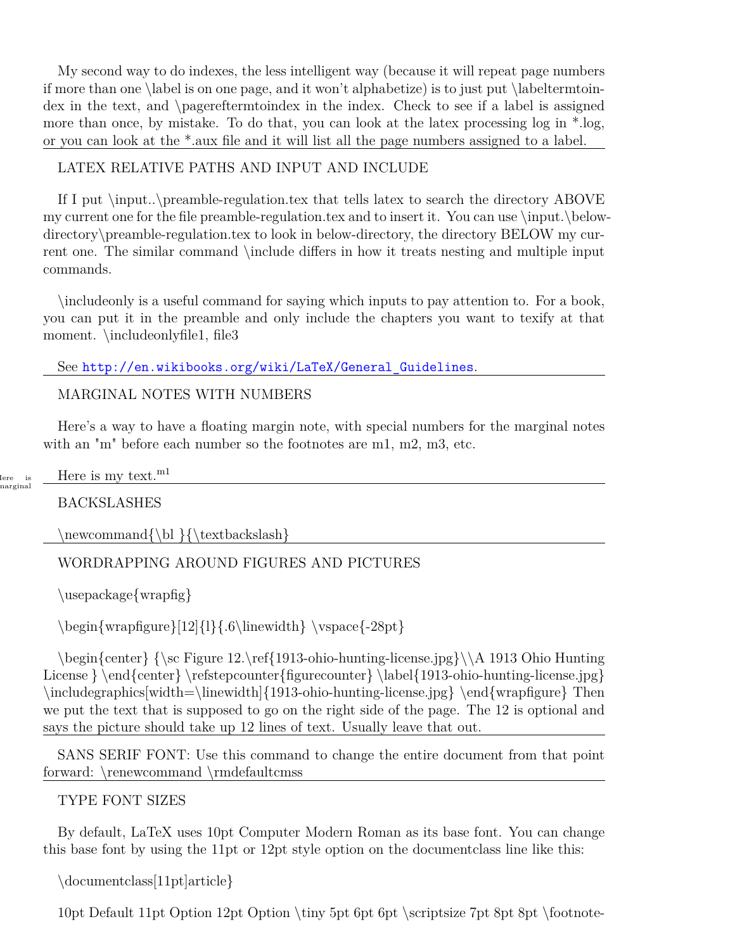My second way to do indexes, the less intelligent way (because it will repeat page numbers if more than one  $\label{eq:1}$  and it won't alphabetize) is to just put  $\label{eq:1}$  labeltermtoindex in the text, and \pagereftermtoindex in the index. Check to see if a label is assigned more than once, by mistake. To do that, you can look at the latex processing log in \*.log, or you can look at the \*.aux file and it will list all the page numbers assigned to a label.

# LATEX RELATIVE PATHS AND INPUT AND INCLUDE

If I put \input..\preamble-regulation.tex that tells latex to search the directory ABOVE my current one for the file preamble-regulation.tex and to insert it. You can use \input.\belowdirectory\preamble-regulation.tex to look in below-directory, the directory BELOW my current one. The similar command \include differs in how it treats nesting and multiple input commands.

\includeonly is a useful command for saying which inputs to pay attention to. For a book, you can put it in the preamble and only include the chapters you want to texify at that moment. \includeonlyfile1, file3

# See [http://en.wikibooks.org/wiki/LaTeX/General\\_Guidelines](http://en.wikibooks.org/wiki/LaTeX/General_Guidelines).

#### MARGINAL NOTES WITH NUMBERS

Here's a way to have a floating margin note, with special numbers for the marginal notes with an "m" before each number so the footnotes are m1, m2, m3, etc.

| lere<br>is | m <sub>1</sub><br>dere is :<br>text.<br>mv |  |
|------------|--------------------------------------------|--|
| narginal   |                                            |  |

**BACKSLASHES** 

 $\newcommand{\b}{\text{\textbf{}}$  \  $\text{backslash}$ 

# WORDRAPPING AROUND FIGURES AND PICTURES

\usepackage{wrapfig}

 $\begin{array}{c}\n\begin{array}{c}\n\begin{array}{c}\n\begin{array}{c}\n\begin{array}{c}\n\end{array} \end{array} \end{array}$ 

\begin{center} {\sc Figure 12.\ref{1913-ohio-hunting-license.jpg}\\A 1913 Ohio Hunting License } \end{center} \refstepcounter{figurecounter} \label{1913-ohio-hunting-license.jpg} \includegraphics[width=\linewidth]{1913-ohio-hunting-license.jpg} \end{wrapfigure} Then we put the text that is supposed to go on the right side of the page. The 12 is optional and says the picture should take up 12 lines of text. Usually leave that out.

SANS SERIF FONT: Use this command to change the entire document from that point forward: \renewcommand \rmdefaultcmss

TYPE FONT SIZES

By default, LaTeX uses 10pt Computer Modern Roman as its base font. You can change this base font by using the 11pt or 12pt style option on the documentclass line like this:

```
\documentclass[11pt]article}
```
10pt Default 11pt Option 12pt Option \tiny 5pt 6pt \scriptsize 7pt 8pt 8pt \footnote-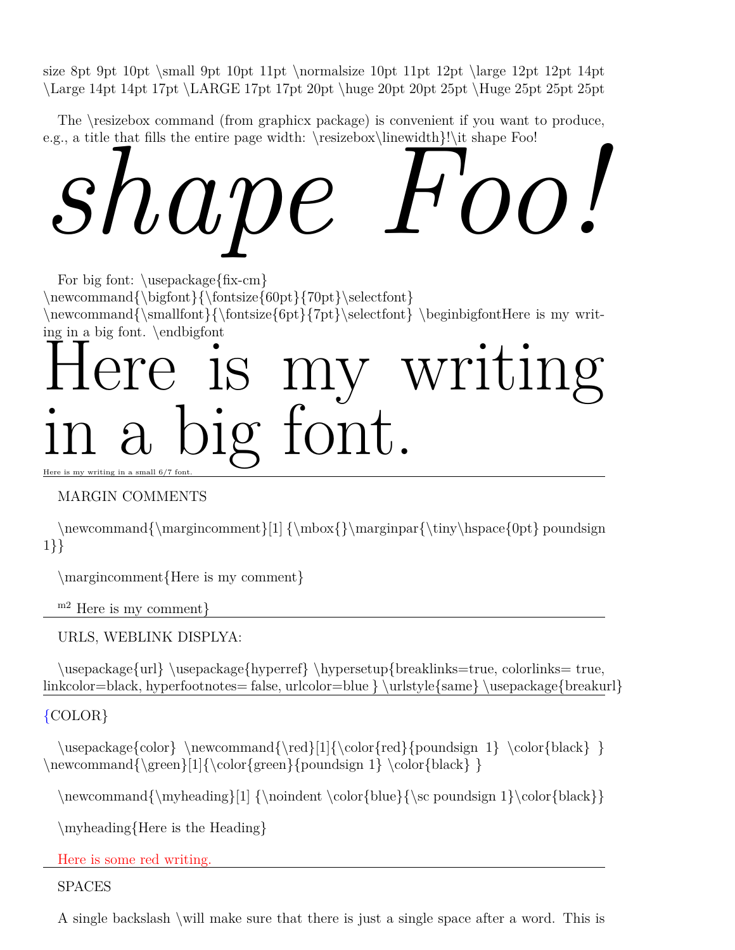size 8pt 9pt 10pt  $\mathrm{10pt} 11pt \normalfont\$ 11pt  $\mathrm{12pt} 12pt \displaystyle 12pt 12pt 14pt$ \Large 14pt 14pt 17pt \LARGE 17pt 17pt 20pt \huge 20pt 20pt 25pt \Huge 25pt 25pt 25pt

The \resizebox command (from graphicx package) is convenient if you want to produce, e.g., a title that fills the entire page width: \resizebox\linewidth}!\it shape Foo!

# $s$ hat fils the entire page width: \resizebox\linewidth}!\it shape Foo!<br> $s$ hat fils the entire page width: \resizebox\linewidth}!\it shape Foo!

For big font: \usepackage{fix-cm}  $\newcommand{\bigarrow{\phi}{\boldsymbol{0}$ \newcommand{\smallfont}{\fontsize{6pt}{7pt}\selectfont} \beginbigfontHere is my writing in a big font. \endbigfont

# ere is my writing in a big font.

Here is my writing in a small  $6/7$  fon

# MARGIN COMMENTS

 $\newcommand{\<sub>max</sub> of  $|1| \mathbb{}\mathbb{R}$  \marginpar{\tiny\hspace{0pt} poundsign$ 1}}

\margincomment{Here is my comment}

m2 Here is my comment}

URLS, WEBLINK DISPLYA:

\usepackage{url} \usepackage{hyperref} \hypersetup{breaklinks=true, colorlinks= true, linkcolor=black, hyperfootnotes= false, urlcolor=blue } \urlstyle{same} \usepackage{breakurl}

# {COLOR}

\usepackage{color} \newcommand{\red}[1]{\color{red}{poundsign 1} \color{black} }  $\newline \omega\{\geren}[1]{\color{red}{\text{pounds}} 1} \color{red}{\text{black}} \}$ 

 $\newcommand{\mbox{\label{1}}{\n non-dual-  
boundary}$ |1]  $\color{{\|}{\n noindent\cdot\cdot\cdot\cdot\}$  sc poundsign 1}\color{black}}

\myheading{Here is the Heading}

Here is some red writing.

SPACES

A single backslash \will make sure that there is just a single space after a word. This is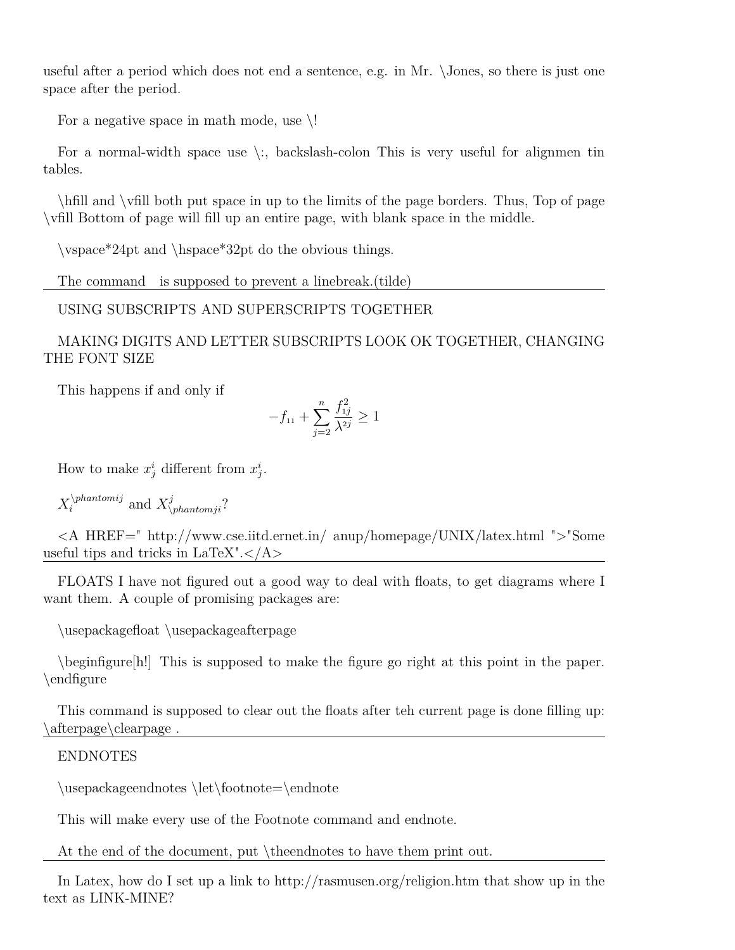useful after a period which does not end a sentence, e.g. in Mr. \Jones, so there is just one space after the period.

For a negative space in math mode, use  $\backslash !$ 

For a normal-width space use  $\langle \cdot, \cdot \rangle$  backslash-colon This is very useful for alignmen tin tables.

\hfill and \vfill both put space in up to the limits of the page borders. Thus, Top of page \vfill Bottom of page will fill up an entire page, with blank space in the middle.

\vspace\*24pt and \hspace\*32pt do the obvious things.

The command is supposed to prevent a linebreak.(tilde)

USING SUBSCRIPTS AND SUPERSCRIPTS TOGETHER

MAKING DIGITS AND LETTER SUBSCRIPTS LOOK OK TOGETHER, CHANGING THE FONT SIZE

This happens if and only if

$$
-f_{11} + \sum_{j=2}^{n} \frac{f_{1j}^2}{\lambda^{2j}} \ge 1
$$

How to make  $x_j^i$  different from  $x_j^i$ .

 $X_i^{\phi}$  and  $X_{\phi}^j$ ?

<A HREF=" http://www.cse.iitd.ernet.in/ anup/homepage/UNIX/latex.html ">"Some useful tips and tricks in  $LaTeX" <  $|A>$$ 

FLOATS I have not figured out a good way to deal with floats, to get diagrams where I want them. A couple of promising packages are:

\usepackagefloat \usepackageafterpage

\beginfigure[h!] This is supposed to make the figure go right at this point in the paper. \endfigure

This command is supposed to clear out the floats after teh current page is done filling up: \afterpage\clearpage .

# ENDNOTES

\usepackageendnotes \let\footnote=\endnote

This will make every use of the Footnote command and endnote.

At the end of the document, put \theendnotes to have them print out.

In Latex, how do I set up a link to http://rasmusen.org/religion.htm that show up in the text as LINK-MINE?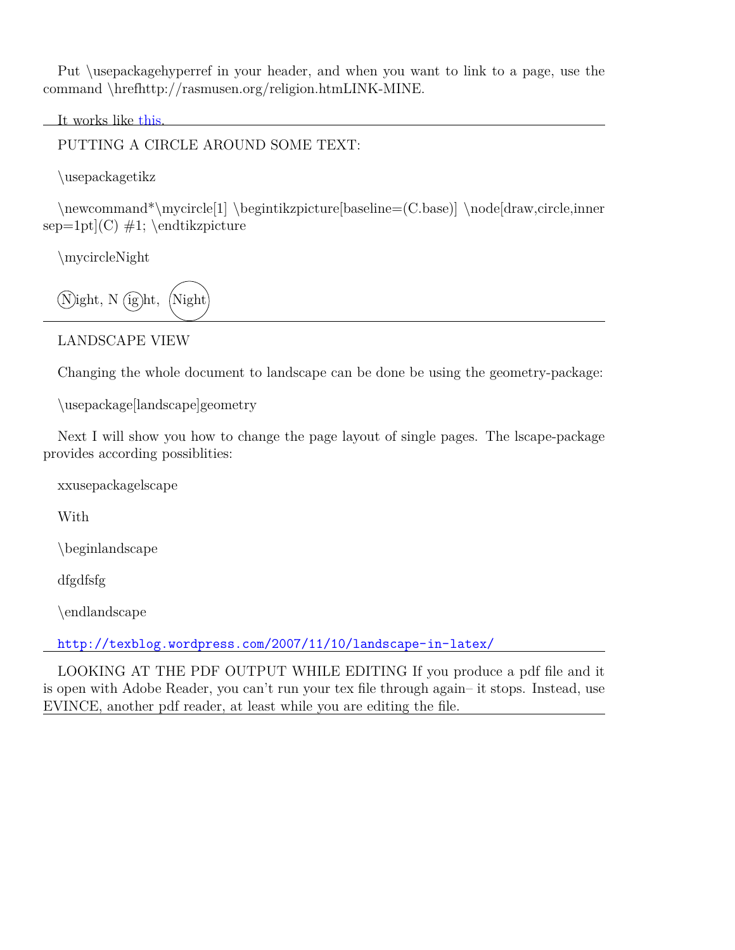Put \usepackagehyperref in your header, and when you want to link to a page, use the command \hrefhttp://rasmusen.org/religion.htmLINK-MINE.

It works like [this.](http://rasmusen.org/religion.htm)

PUTTING A CIRCLE AROUND SOME TEXT:

\usepackagetikz

\newcommand\*\mycircle[1] \begintikzpicture[baseline=(C.base)] \node[draw,circle,inner  $sep=1pt(C) \#1$ ; \endtikzpicture

\mycircleNight

 $(N)$ ight, N $(ig)$ ht,  $(Night)$ 

LANDSCAPE VIEW

Changing the whole document to landscape can be done be using the geometry-package:

\usepackage[landscape]geometry

Next I will show you how to change the page layout of single pages. The lscape-package provides according possiblities:

xxusepackagelscape

With

\beginlandscape

dfgdfsfg

\endlandscape

<http://texblog.wordpress.com/2007/11/10/landscape-in-latex/>

LOOKING AT THE PDF OUTPUT WHILE EDITING If you produce a pdf file and it is open with Adobe Reader, you can't run your tex file through again– it stops. Instead, use EVINCE, another pdf reader, at least while you are editing the file.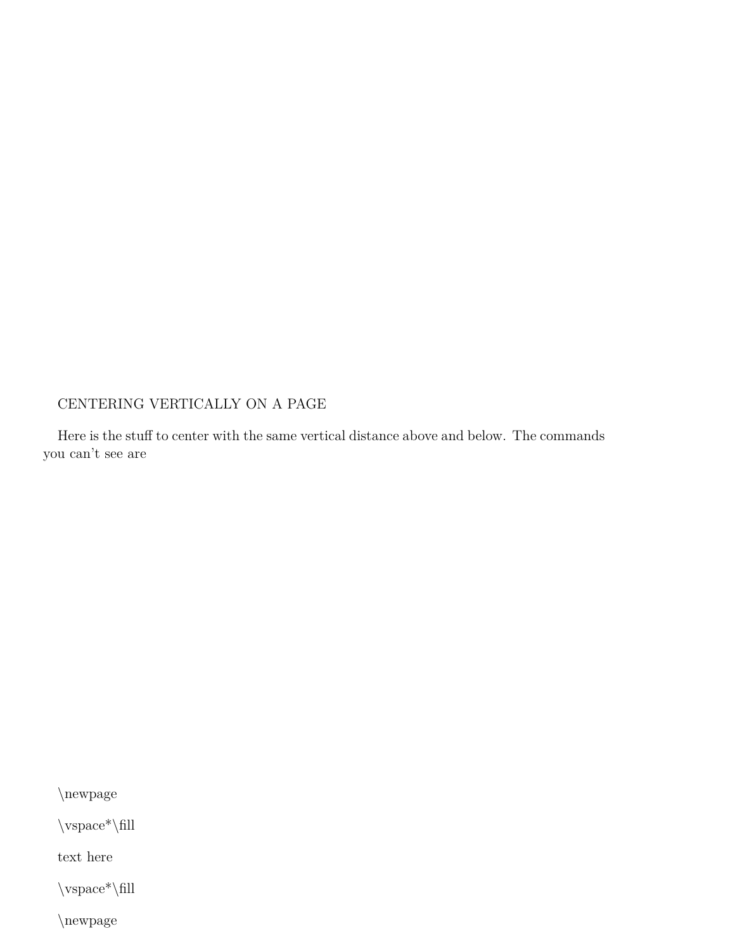# CENTERING VERTICALLY ON A PAGE

Here is the stuff to center with the same vertical distance above and below. The commands you can't see are

\newpage

 $\verb|\vspace|*\|fill$ 

text here

 $\varepsilon^*\$ |fill

\newpage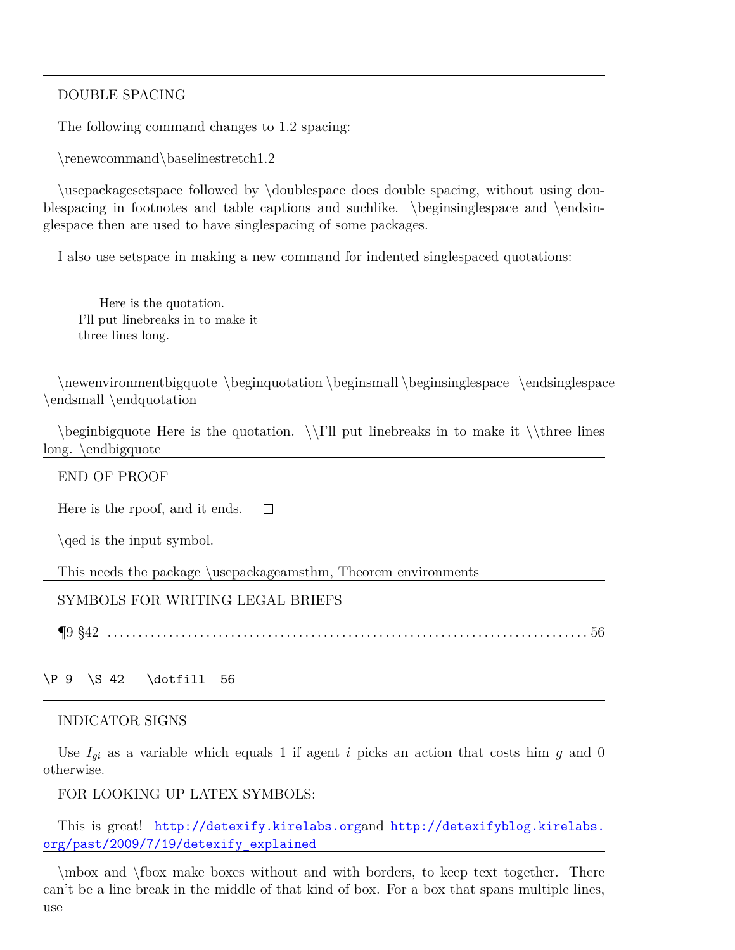#### DOUBLE SPACING

The following command changes to 1.2 spacing:

\renewcommand\baselinestretch1.2

\usepackagesetspace followed by \doublespace does double spacing, without using doublespacing in footnotes and table captions and suchlike. \beginsinglespace and \endsinglespace then are used to have singlespacing of some packages.

I also use setspace in making a new command for indented singlespaced quotations:

Here is the quotation. I'll put linebreaks in to make it three lines long.

\newenvironmentbigquote \beginquotation \beginsmall \beginsinglespace \endsinglespace \endsmall \endquotation

 $\begin{array}{c}\n\begin{array}{c}\n\begin{array}{c}\n\end{array} \text{if } \theta \end{array}$ long. \endbigquote

#### END OF PROOF

 $\Box$ Here is the rpoof, and it ends.

\qed is the input symbol.

This needs the package \usepackageamsthm, Theorem environments

#### SYMBOLS FOR WRITING LEGAL BRIEFS

¶9 §42 . . . . . . . . . . . . . . . . . . . . . . . . . . . . . . . . . . . . . . . . . . . . . . . . . . . . . . . . . . . . . . . . . . . . . . . . . . . . . . 56

#### \P 9 \S 42 \dotfill 56

#### INDICATOR SIGNS

Use  $I_{gi}$  as a variable which equals 1 if agent *i* picks an action that costs him  $g$  and 0 otherwise.

#### FOR LOOKING UP LATEX SYMBOLS:

This is great! <http://detexify.kirelabs.org>and [http://detexifyblog.kirelabs.](http://detexifyblog.kirelabs.org/past/2009/7/19/detexify_explained) [org/past/2009/7/19/detexify\\_explained](http://detexifyblog.kirelabs.org/past/2009/7/19/detexify_explained)

\mbox and \fbox make boxes without and with borders, to keep text together. There can't be a line break in the middle of that kind of box. For a box that spans multiple lines, use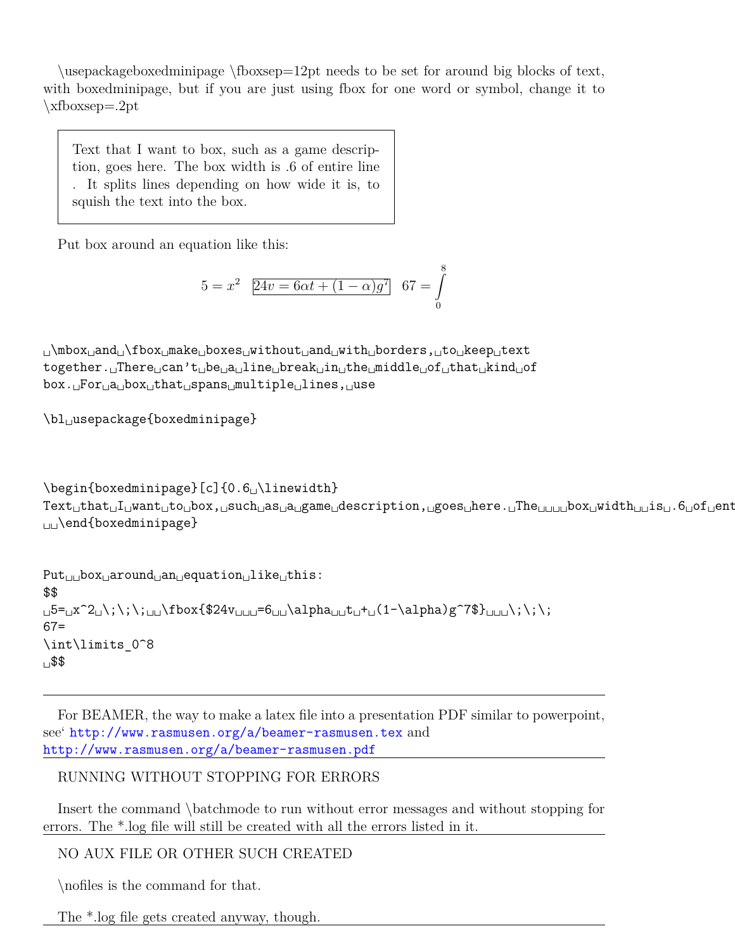\usepackageboxedminipage \fboxsep=12pt needs to be set for around big blocks of text, with boxedminipage, but if you are just using fbox for one word or symbol, change it to \xfboxsep=.2pt

Text that I want to box, such as a game description, goes here. The box width is .6 of entire line . It splits lines depending on how wide it is, to squish the text into the box.

Put box around an equation like this:

$$
5 = x^2 \quad \boxed{24v = 6\alpha t + (1 - \alpha)g^7} \quad 67 = \int_{0}^{8}
$$

␣\mbox␣and␣\fbox␣make␣boxes␣without␣and␣with␣borders,␣to␣keep␣text together.␣There␣can't␣be␣a␣line␣break␣in␣the␣middle␣of␣that␣kind␣of box.␣For␣a␣box␣that␣spans␣multiple␣lines,␣use

\bl␣usepackage{boxedminipage}

```
\begin{boxedminipage}[c]{0.6␣\linewidth}
Text␣that␣I␣want␣to␣box,␣such␣as␣a␣game␣description,␣goes␣here.␣The␣␣␣␣box␣width␣␣is␣.6␣of␣entire␣line␣.␣It␣splits␣lines␣depending␣on␣how␣wide␣it␣is,␣to␣squish␣the␣text␣into␣the␣box.
␣␣\end{boxedminipage}
```

```
Put␣␣box␣around␣an␣equation␣like␣this:
$$
␣5=␣x^2␣\;\;\;␣␣\fbox{$24v␣␣␣=6␣␣\alpha␣␣t␣+␣(1-\alpha)g^7$}␣␣␣\;\;\;
67=
\int\limits_0^8
␣$$
```
For BEAMER, the way to make a latex file into a presentation PDF similar to powerpoint, see' <http://www.rasmusen.org/a/beamer-rasmusen.tex> and <http://www.rasmusen.org/a/beamer-rasmusen.pdf>

# RUNNING WITHOUT STOPPING FOR ERRORS

Insert the command \batchmode to run without error messages and without stopping for errors. The \*.log file will still be created with all the errors listed in it.

NO AUX FILE OR OTHER SUCH CREATED

\nofiles is the command for that.

The \*.log file gets created anyway, though.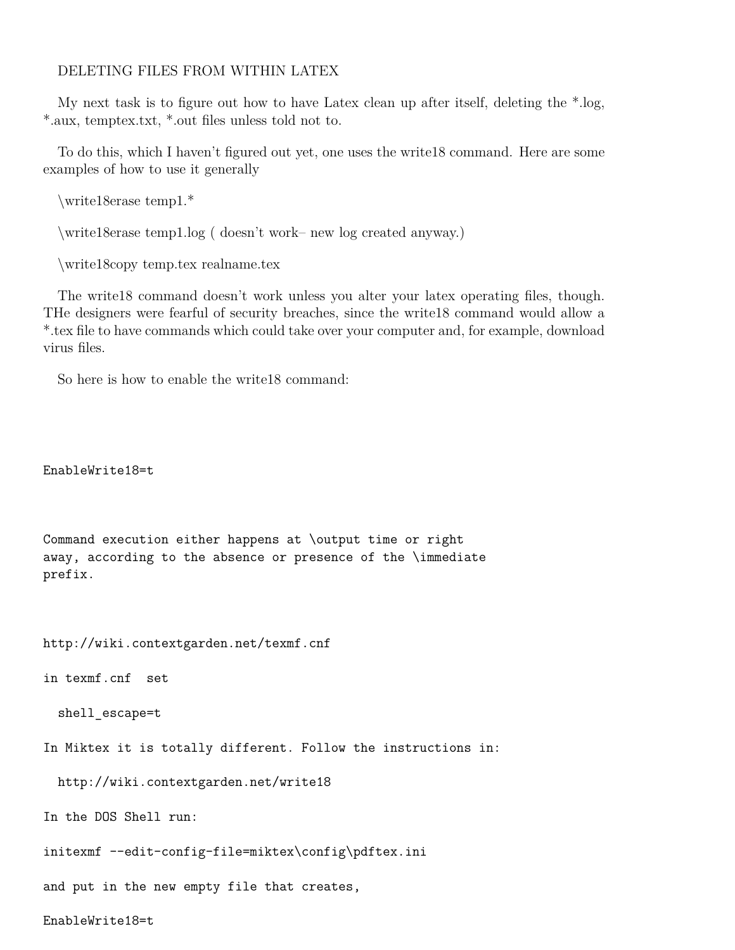#### DELETING FILES FROM WITHIN LATEX

My next task is to figure out how to have Latex clean up after itself, deleting the \*.log, \*.aux, temptex.txt, \*.out files unless told not to.

To do this, which I haven't figured out yet, one uses the write18 command. Here are some examples of how to use it generally

\write18erase temp1.\*

\write18erase temp1.log ( doesn't work– new log created anyway.)

\write18copy temp.tex realname.tex

The write18 command doesn't work unless you alter your latex operating files, though. THe designers were fearful of security breaches, since the write18 command would allow a \*.tex file to have commands which could take over your computer and, for example, download virus files.

So here is how to enable the write18 command:

EnableWrite18=t

Command execution either happens at \output time or right away, according to the absence or presence of the \immediate prefix.

http://wiki.contextgarden.net/texmf.cnf

in texmf.cnf set

shell escape=t

In Miktex it is totally different. Follow the instructions in:

http://wiki.contextgarden.net/write18

In the DOS Shell run:

initexmf --edit-config-file=miktex\config\pdftex.ini

and put in the new empty file that creates,

EnableWrite18=t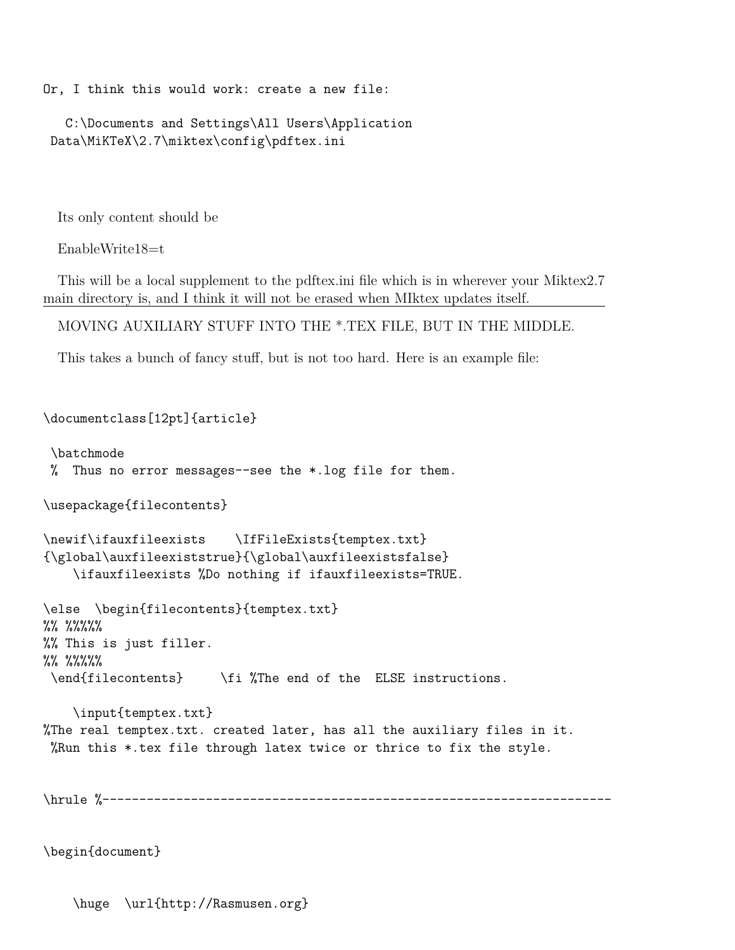Or, I think this would work: create a new file:

C:\Documents and Settings\All Users\Application Data\MiKTeX\2.7\miktex\config\pdftex.ini

Its only content should be

EnableWrite18=t

This will be a local supplement to the pdftex.ini file which is in wherever your Miktex2.7 main directory is, and I think it will not be erased when MIktex updates itself.

MOVING AUXILIARY STUFF INTO THE \*.TEX FILE, BUT IN THE MIDDLE.

This takes a bunch of fancy stuff, but is not too hard. Here is an example file:

```
\documentclass[12pt]{article}
\batchmode
% Thus no error messages--see the *.log file for them.
\usepackage{filecontents}
\newif\ifauxfileexists \IfFileExists{temptex.txt}
{\global\auxfileexiststrue}{\global\auxfileexistsfalse}
    \ifauxfileexists %Do nothing if ifauxfileexists=TRUE.
\else \begin{filecontents}{temptex.txt}
%% %%%%%
%% This is just filler.
%% %%%%%
\end{filecontents} \fi %The end of the ELSE instructions.
    \input{temptex.txt}
%The real temptex.txt. created later, has all the auxiliary files in it.
%Run this *.tex file through latex twice or thrice to fix the style.
```
\hrule %---------------------------------------------------------------------

\begin{document}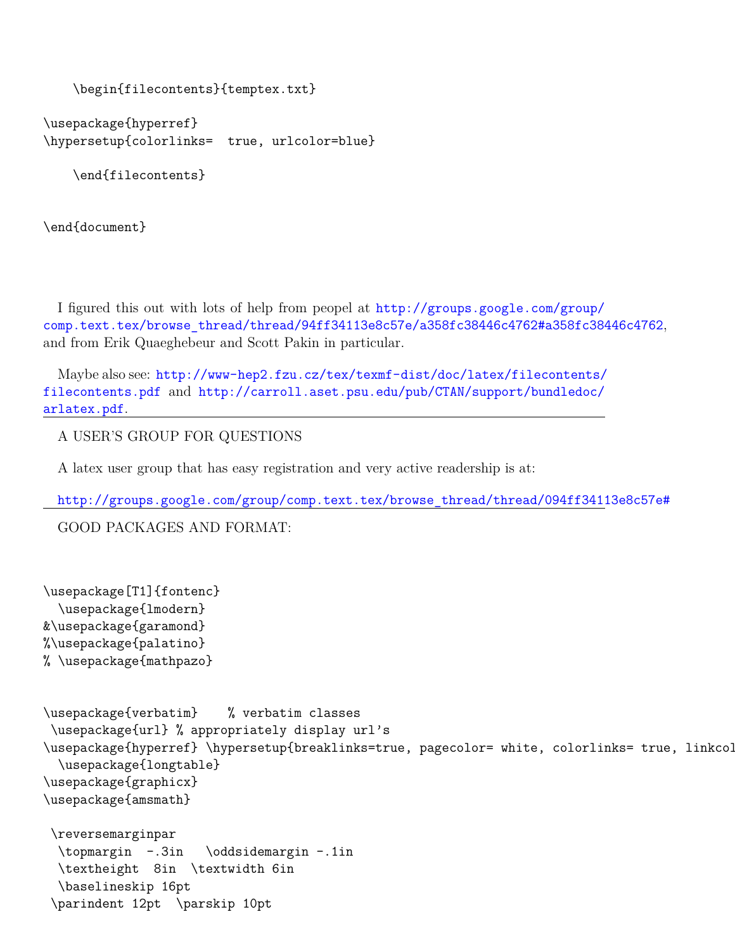```
\begin{filecontents}{temptex.txt}
```

```
\usepackage{hyperref}
\hypersetup{colorlinks= true, urlcolor=blue}
```
\end{filecontents}

\end{document}

I figured this out with lots of help from peopel at [http://groups.google.com/group/](http://groups.google.com/group/comp.text.tex/browse_thread/thread/94ff34113e8c57e/a358fc38446c4762#a358fc38446c4762) [comp.text.tex/browse\\_thread/thread/94ff34113e8c57e/a358fc38446c4762#a358fc38446c4762](http://groups.google.com/group/comp.text.tex/browse_thread/thread/94ff34113e8c57e/a358fc38446c4762#a358fc38446c4762), and from Erik Quaeghebeur and Scott Pakin in particular.

Maybe also see: [http://www-hep2.fzu.cz/tex/texmf-dist/doc/latex/filecontents/]( http://www-hep2.fzu.cz/tex/texmf- dist/doc/latex/filecontents/filecontents.pdf) [filecontents.pdf]( http://www-hep2.fzu.cz/tex/texmf- dist/doc/latex/filecontents/filecontents.pdf) and [http://carroll.aset.psu.edu/pub/CTAN/support/bundledoc/](http://carroll.aset.psu.edu/pub/CTAN/support/bundledoc/arla tex.pdf) [arlatex.pdf](http://carroll.aset.psu.edu/pub/CTAN/support/bundledoc/arla tex.pdf).

A USER'S GROUP FOR QUESTIONS

A latex user group that has easy registration and very active readership is at:

[http://groups.google.com/group/comp.text.tex/browse\\_thread/thread/094ff34113e8c57e#](http://groups.google.com/group/comp.text.tex/browse_thread/thread/094ff34113e8c57e#)

GOOD PACKAGES AND FORMAT:

```
\usepackage[T1]{fontenc}
  \usepackage{lmodern}
&\usepackage{garamond}
%\usepackage{palatino}
% \usepackage{mathpazo}
\usepackage{verbatim} % verbatim classes
 \usepackage{url} % appropriately display url's
\usepackage{hyperref} \hypersetup{breaklinks=true, pagecolor= white, colorlinks= true, linkcol
  \usepackage{longtable}
\usepackage{graphicx}
\usepackage{amsmath}
 \reversemarginpar
  \topmargin -.3in \oddsidemargin -.1in
  \textheight 8in \textwidth 6in
  \baselineskip 16pt
 \parindent 12pt \parskip 10pt
```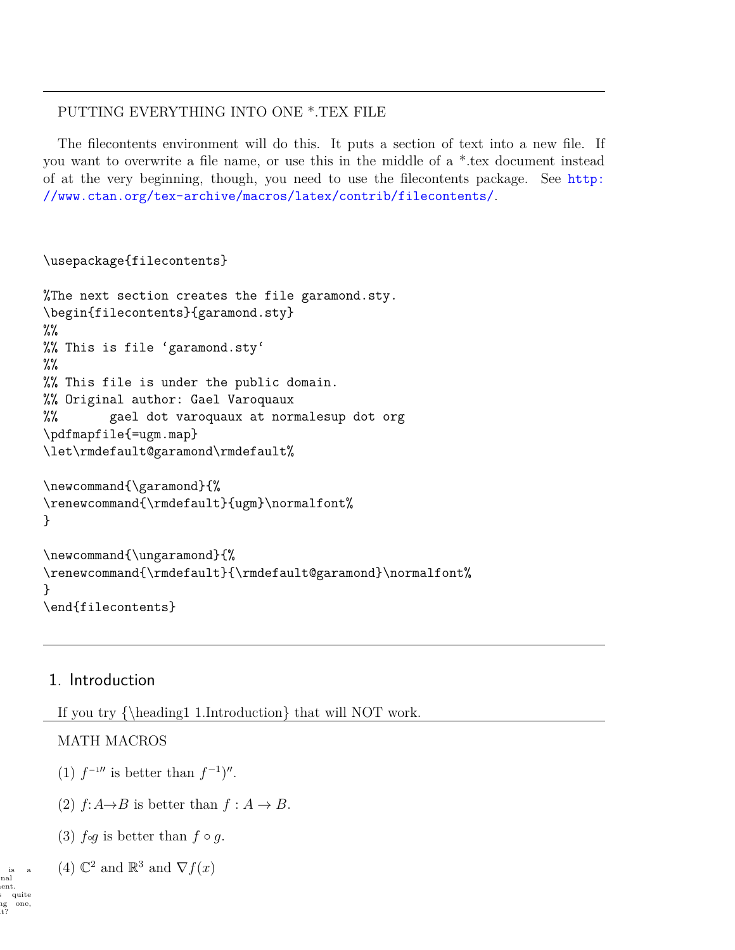# PUTTING EVERYTHING INTO ONE \*.TEX FILE

The filecontents environment will do this. It puts a section of text into a new file. If you want to overwrite a file name, or use this in the middle of a \*.tex document instead of at the very beginning, though, you need to use the filecontents package. See [http:](http://www.ctan.org/tex-archive/macros/latex/contrib/filecontents/) [//www.ctan.org/tex-archive/macros/latex/contrib/filecontents/](http://www.ctan.org/tex-archive/macros/latex/contrib/filecontents/).

```
\usepackage{filecontents}
```

```
%The next section creates the file garamond.sty.
\begin{filecontents}{garamond.sty}
%%
%% This is file 'garamond.sty'
\frac{9}{2}%% This file is under the public domain.
%% Original author: Gael Varoquaux
%% gael dot varoquaux at normalesup dot org
\pdfmapfile{=ugm.map}
\let\rmdefault@garamond\rmdefault%
\newcommand{\garamond}{%
\renewcommand{\rmdefault}{ugm}\normalfont%
}
\newcommand{\ungaramond}{%
\renewcommand{\rmdefault}{\rmdefault@garamond}\normalfont%
}
\end{filecontents}
```
# 1. Introduction

If you try {\heading1 1.Introduction} that will NOT work.

# MATH MACROS

- (1)  $f^{-1}$ <sup>*''*</sup> is better than  $f^{-1}$ <sup>''</sup>.
- (2)  $f: A \rightarrow B$  is better than  $f: A \rightarrow B$ .
- (3)  $f \circ g$  is better than  $f \circ g$ .

is a (4)  $\mathbb{C}^2$  and  $\mathbb{R}^3$  and  $\nabla f(x)$ 

nal ent. quite ig one,<br>it?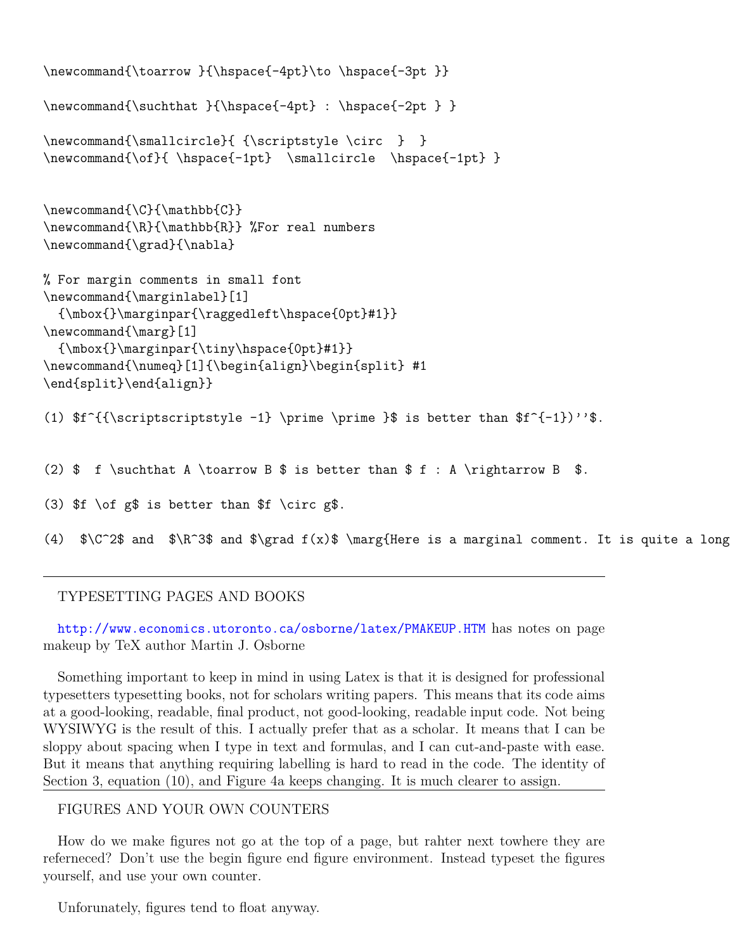```
\newcommand{\toarrow }{\hspace{-4pt}\to \hspace{-3pt }}
\newcommand{\suchthat }{\hspace{-4pt} : \hspace{-2pt } }
\newcommand{\smallcircle}{ {\scriptstyle \circ } }
\newcommand{\of}{ \hspace{-1pt} \smallcircle \hspace{-1pt} }
\newcommand{\C}{\mathbb{C}}
\newcommand{\R}{\mathbb{R}} %For real numbers
\newcommand{\grad}{\nabla}
% For margin comments in small font
\newcommand{\marginlabel}[1]
  {\mbox{}\marginpar{\raggedleft\hspace{0pt}#1}}
\newcommand{\marg}[1]
  {\mbox{}\marginpar{\tiny\hspace{0pt}#1}}
\newcommand{\numeq}[1]{\begin{align}\begin{split} #1
\end{split}\end{align}}
(1) f^{{\scriptscriptstyle -1}} \prime -1 \prime \prime }$ is better than f^{-1})''.
(2) \$ f \suchthat A \toarrow B \$ is better than \$ f : A \rightarrow B \$.
(3) f \of g\ is better than f \circ g\.
(4) \C^2\ and \R^3\ and \sqrt{T^3} and \sqrt{T^3} and \sqrt{T^3} \marg{Here is a marginal comment. It is quite a long
```
# TYPESETTING PAGES AND BOOKS

<http://www.economics.utoronto.ca/osborne/latex/PMAKEUP.HTM> has notes on page makeup by TeX author Martin J. Osborne

Something important to keep in mind in using Latex is that it is designed for professional typesetters typesetting books, not for scholars writing papers. This means that its code aims at a good-looking, readable, final product, not good-looking, readable input code. Not being WYSIWYG is the result of this. I actually prefer that as a scholar. It means that I can be sloppy about spacing when I type in text and formulas, and I can cut-and-paste with ease. But it means that anything requiring labelling is hard to read in the code. The identity of Section 3, equation (10), and Figure 4a keeps changing. It is much clearer to assign.

#### FIGURES AND YOUR OWN COUNTERS

How do we make figures not go at the top of a page, but rahter next towhere they are referneced? Don't use the begin figure end figure environment. Instead typeset the figures yourself, and use your own counter.

Unforunately, figures tend to float anyway.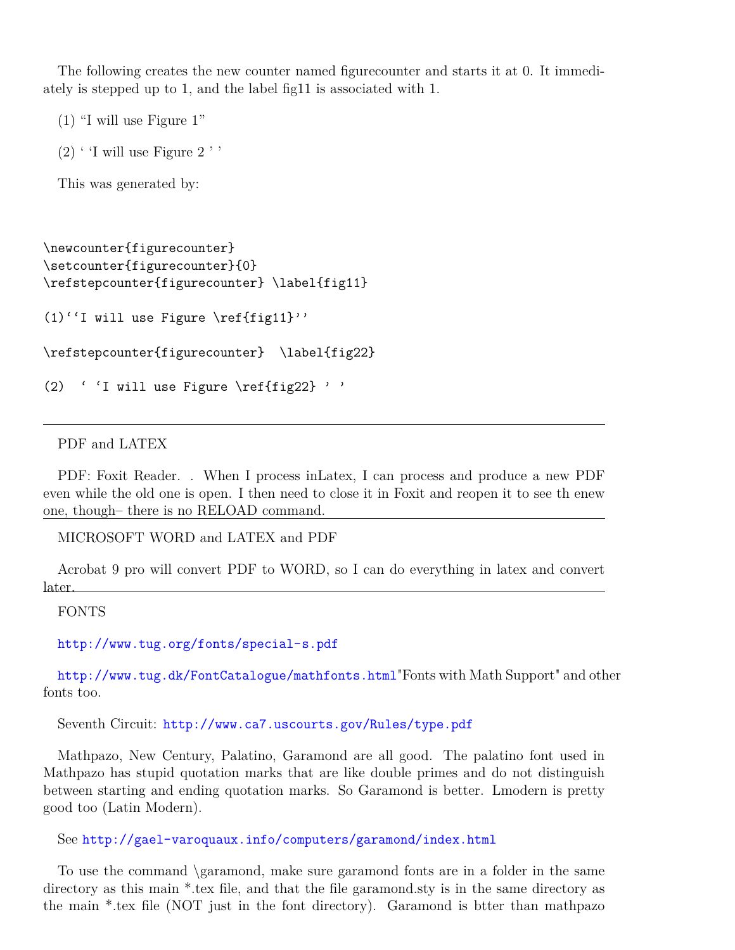The following creates the new counter named figurecounter and starts it at 0. It immediately is stepped up to 1, and the label fig11 is associated with 1.

<span id="page-14-1"></span><span id="page-14-0"></span>(1) "I will use Figure [1"](#page-14-0)

 $(2)$  $(2)$  $(2)$  ' 'I will use Figure 2''

This was generated by:

```
\newcounter{figurecounter}
\setcounter{figurecounter}{0}
\refstepcounter{figurecounter} \label{fig11}
(1)''I will use Figure \ref{fig11}''
\refstepcounter{figurecounter} \label{fig22}
(2) ' 'I will use Figure \ref{fig22} ' '
```
PDF and LATEX

PDF: Foxit Reader. . When I process inLatex, I can process and produce a new PDF even while the old one is open. I then need to close it in Foxit and reopen it to see th enew one, though– there is no RELOAD command.

MICROSOFT WORD and LATEX and PDF

Acrobat 9 pro will convert PDF to WORD, so I can do everything in latex and convert later.

FONTS

[http://www.tug.org/fonts/special-s.pdf]( http://www.tug.org/fonts/special-s.pdf)

[http://www.tug.dk/FontCatalogue/mathfonts.html]( http://www.tug.dk/FontCatalogue/mathfonts.html )"Fonts with Math Support" and other fonts too.

Seventh Circuit: <http://www.ca7.uscourts.gov/Rules/type.pdf>

Mathpazo, New Century, Palatino, Garamond are all good. The palatino font used in Mathpazo has stupid quotation marks that are like double primes and do not distinguish between starting and ending quotation marks. So Garamond is better. Lmodern is pretty good too (Latin Modern).

See <http://gael-varoquaux.info/computers/garamond/index.html>

To use the command \garamond, make sure garamond fonts are in a folder in the same directory as this main \*.tex file, and that the file garamond.sty is in the same directory as the main \*.tex file (NOT just in the font directory). Garamond is btter than mathpazo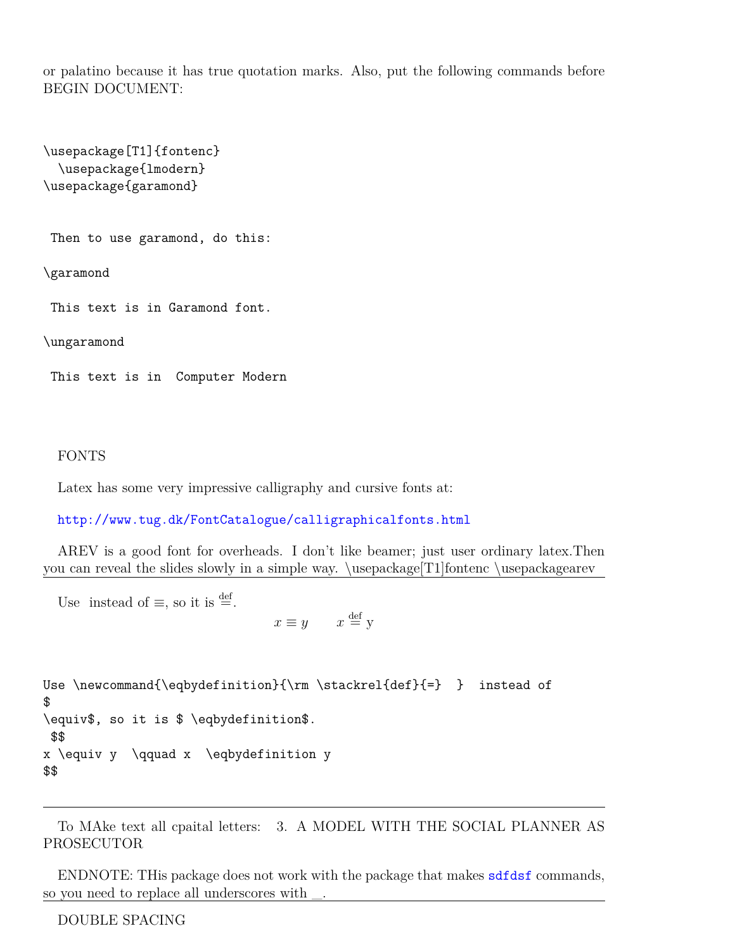or palatino because it has true quotation marks. Also, put the following commands before BEGIN DOCUMENT:

```
\usepackage[T1]{fontenc}
  \usepackage{lmodern}
\usepackage{garamond}
```

```
Then to use garamond, do this:
```
\garamond

This text is in Garamond font.

\ungaramond

This text is in Computer Modern

#### FONTS

Latex has some very impressive calligraphy and cursive fonts at:

<http://www.tug.dk/FontCatalogue/calligraphicalfonts.html>

AREV is a good font for overheads. I don't like beamer; just user ordinary latex.Then you can reveal the slides slowly in a simple way. \usepackage[T1]fontenc \usepackagearev

Use instead of  $\equiv$ , so it is  $\stackrel{\text{def}}{=}$ .

 $x \equiv y \qquad x \stackrel{\text{def}}{=} y$ 

```
Use \newcommand{\eqbydefinition}{\rm \stackrel{def}{=} } instead of
$
\equiv$, so it is $ \eqbydefinition$.
$$
x \equiv y \qquad x \eqbydefinition y
$$
```
To MAke text all cpaital letters: 3. A MODEL WITH THE SOCIAL PLANNER AS PROSECUTOR

ENDNOTE: THis package does not work with the package that makes <sdfdsf> commands, so you need to replace all underscores with

DOUBLE SPACING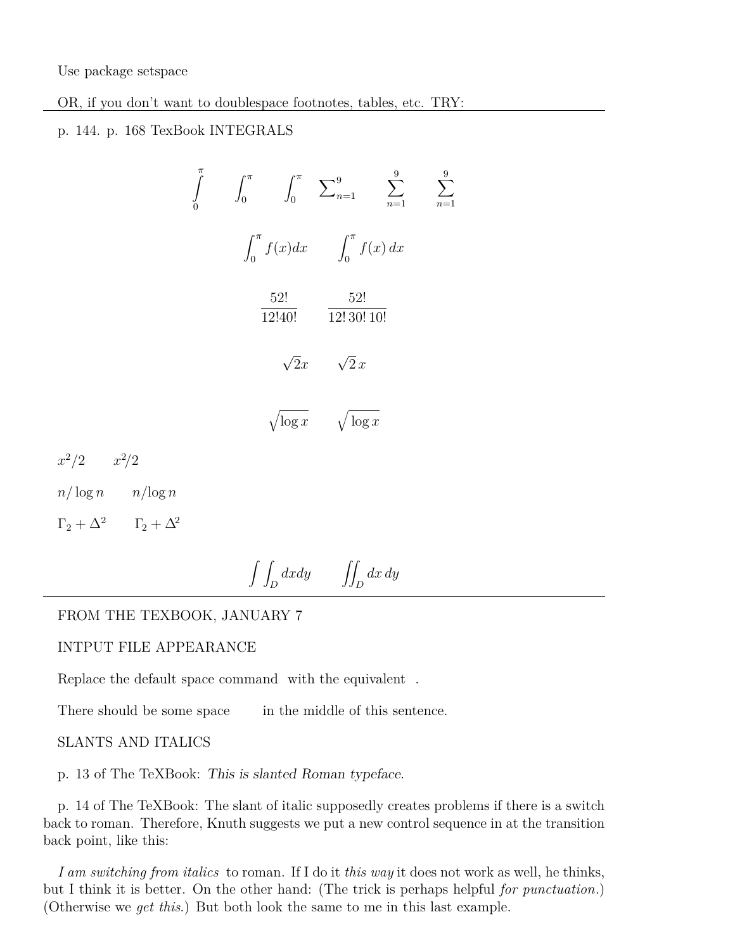Use package setspace

OR, if you don't want to doublespace footnotes, tables, etc. TRY:

# p. 144. p. 168 TexBook INTEGRALS

$$
\int_{0}^{\pi} \int_{0}^{\pi} \int_{0}^{\pi} \sum_{n=1}^{9} \sum_{n=1}^{9} \sum_{n=1}^{9}
$$

$$
\int_{0}^{\pi} f(x) dx \int_{0}^{\pi} f(x) dx
$$

$$
\frac{52!}{12!40!} \frac{52!}{12!30!10!}
$$

$$
\sqrt{2}x \sqrt{2}x
$$

$$
\sqrt{\log x} \sqrt{\log x}
$$

 $x^2/2$   $x^2/2$ 

 $n/\log n$   $n/\log n$ 

 $\Gamma_2 + \Delta^2$   $\Gamma_2 + \Delta^2$ 

# $\int$  $\iint_D dx dy$   $\iiint_D dx dy$

# FROM THE TEXBOOK, JANUARY 7

#### INTPUT FILE APPEARANCE

Replace the default space command with the equivalent .

There should be some space in the middle of this sentence.

#### SLANTS AND ITALICS

p. 13 of The TeXBook: This is slanted Roman typeface.

p. 14 of The TeXBook: The slant of italic supposedly creates problems if there is a switch back to roman. Therefore, Knuth suggests we put a new control sequence in at the transition back point, like this:

*I am switching from italics* to roman. If I do it *this way* it does not work as well, he thinks, but I think it is better. On the other hand: (The trick is perhaps helpful *for punctuation*.) (Otherwise we *get this*.) But both look the same to me in this last example.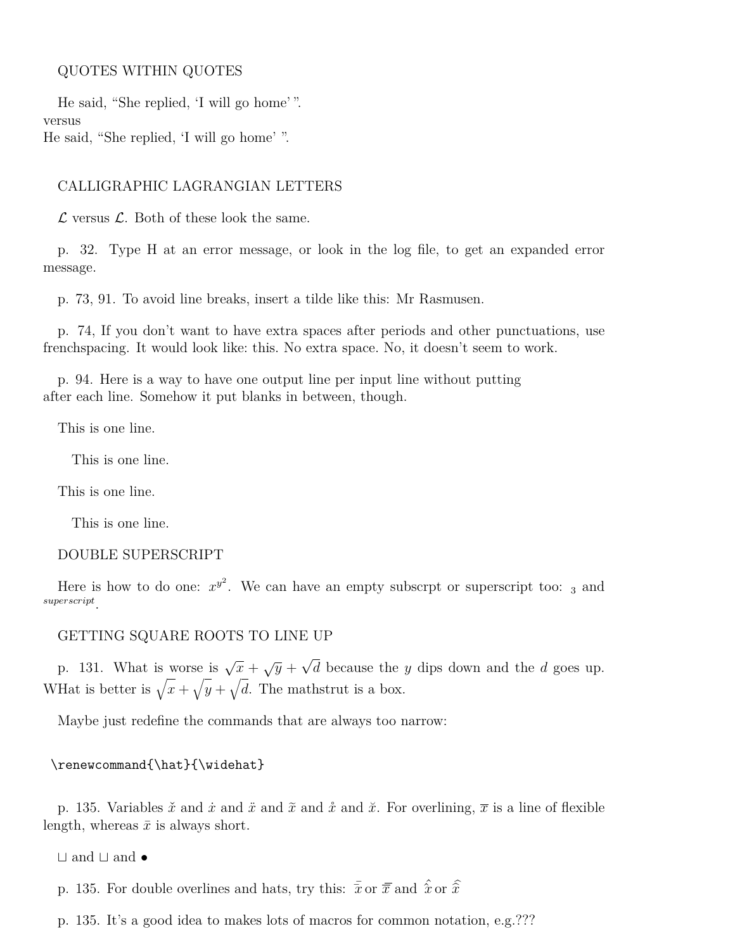#### QUOTES WITHIN QUOTES

He said, "She replied, 'I will go home' ". versus He said, "She replied, 'I will go home' ".

#### CALLIGRAPHIC LAGRANGIAN LETTERS

 $\mathcal L$  versus  $\mathcal L$ . Both of these look the same.

p. 32. Type H at an error message, or look in the log file, to get an expanded error message.

p. 73, 91. To avoid line breaks, insert a tilde like this: Mr Rasmusen.

p. 74, If you don't want to have extra spaces after periods and other punctuations, use frenchspacing. It would look like: this. No extra space. No, it doesn't seem to work.

p. 94. Here is a way to have one output line per input line without putting after each line. Somehow it put blanks in between, though.

This is one line.

This is one line.

This is one line.

This is one line.

#### DOUBLE SUPERSCRIPT

Here is how to do one:  $x^{y^2}$ . We can have an empty subscrpt or superscript too:  $_3$  and *superscript* .

#### GETTING SQUARE ROOTS TO LINE UP

p. 131. What is worse is  $\sqrt{x} + \sqrt{y} + \sqrt{y}$ *d* because the *y* dips down and the *d* goes up. What is better is  $\sqrt{x} + \sqrt{y} + \sqrt{d}$ . The mathstrut is a box.

Maybe just redefine the commands that are always too narrow:

#### \renewcommand{\hat}{\widehat}

p. 135. Variables  $\check{x}$  and  $\check{x}$  and  $\check{x}$  and  $\check{x}$  and  $\check{x}$ . For overlining,  $\overline{x}$  is a line of flexible length, whereas  $\bar{x}$  is always short.

 $\sqcup$  and  $\sqcup$  and  $\bullet$ 

p. 135. For double overlines and hats, try this:  $\bar{x}$  or  $\bar{x}$  and  $\hat{x}$  or  $\hat{x}$ 

p. 135. It's a good idea to makes lots of macros for common notation, e.g.???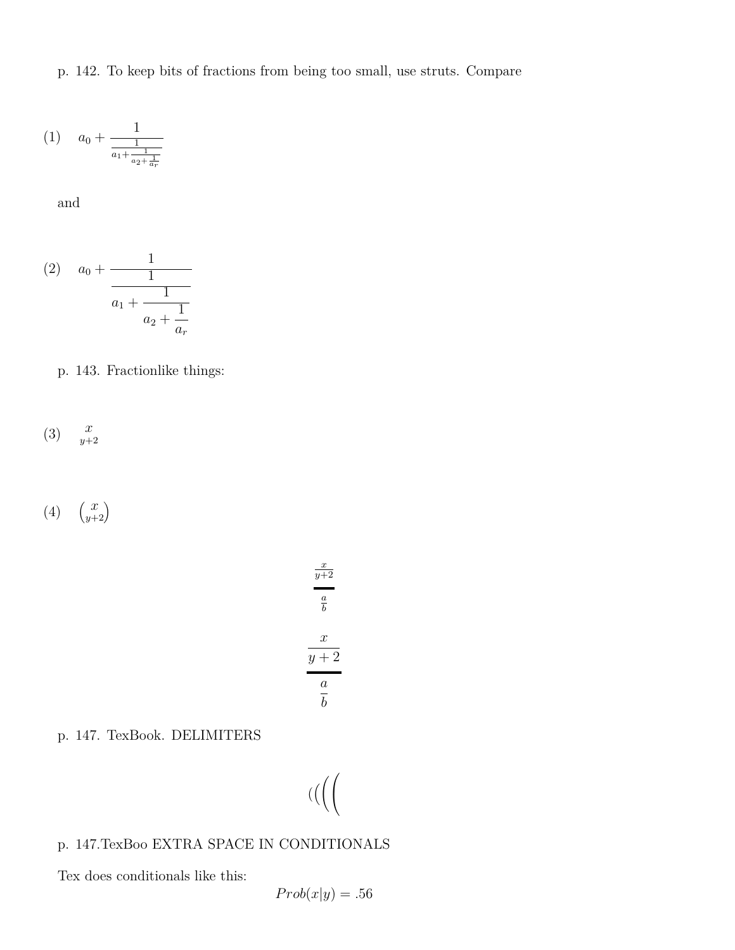p. 142. To keep bits of fractions from being too small, use struts. Compare

$$
(1) \quad a_0 + \frac{1}{\frac{1}{a_1 + \frac{1}{a_2 + \frac{1}{a_r}}}}
$$

and

(2) 
$$
a_0 + \cfrac{1}{\cfrac{1}{a_1 + \cfrac{1}{a_2 + \cfrac{1}{a_r}}}}
$$

p. 143. Fractionlike things:

$$
(3) \quad \frac{x}{y+2}
$$

(4)  $\begin{pmatrix} x \\ y+2 \end{pmatrix}$ 

$$
\frac{x}{y+2}
$$
\n
$$
\frac{a}{b}
$$
\n
$$
\frac{x}{y+2}
$$
\n
$$
\frac{a}{b}
$$

p. 147. TexBook. DELIMITERS

$$
((\biggl(
$$

# p. 147.TexBoo EXTRA SPACE IN CONDITIONALS

Tex does conditionals like this:

$$
Prob(x|y) = .56
$$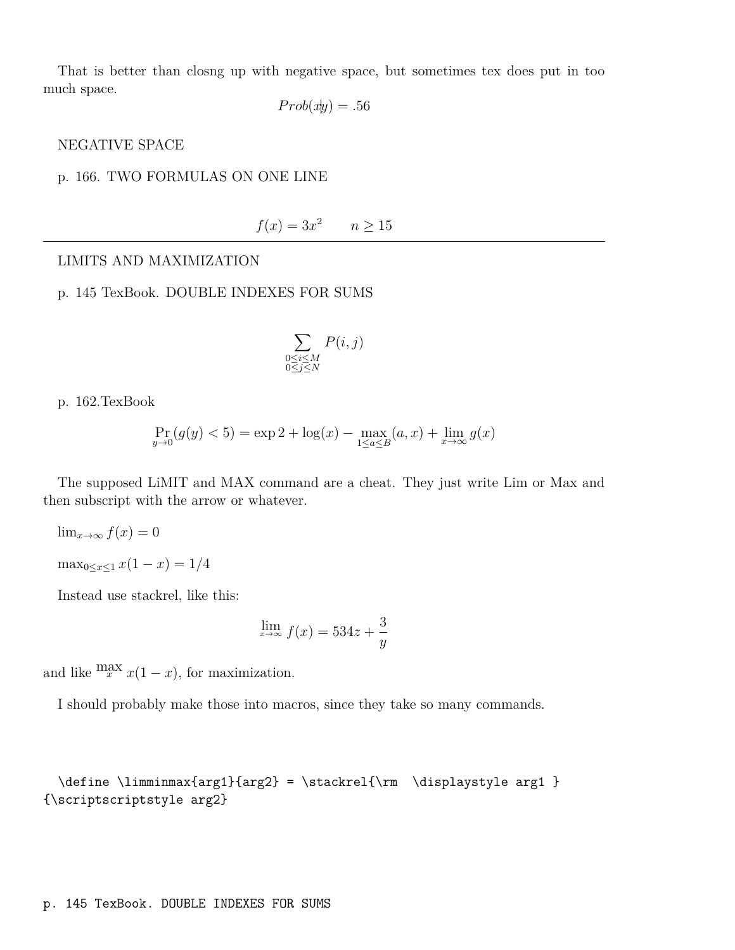That is better than closng up with negative space, but sometimes tex does put in too much space.

$$
Prob(xy) = .56
$$

#### NEGATIVE SPACE

#### p. 166. TWO FORMULAS ON ONE LINE

$$
f(x) = 3x^2 \qquad n \ge 15
$$

#### LIMITS AND MAXIMIZATION

#### p. 145 TexBook. DOUBLE INDEXES FOR SUMS

$$
\sum_{\substack{0 \le i \le M \\ 0 \le j \le N}} P(i, j)
$$

p. 162.TexBook

$$
\Pr_{y \to 0}(g(y) < 5) = \exp 2 + \log(x) - \max_{1 \le a \le B}(a, x) + \lim_{x \to \infty} g(x)
$$

The supposed LiMIT and MAX command are a cheat. They just write Lim or Max and then subscript with the arrow or whatever.

$$
\lim_{x \to \infty} f(x) = 0
$$

$$
\max_{0 \le x \le 1} x(1 - x) = 1/4
$$

Instead use stackrel, like this:

$$
\lim_{x \to \infty} f(x) = 534z + \frac{3}{y}
$$

and like  $\lim_{x} x(1-x)$ , for maximization.

I should probably make those into macros, since they take so many commands.

```
\define \limminmax{arg1}{arg2} = \stackrel{\rm \displaystyle arg1 }
{\scriptscriptstyle arg2}
```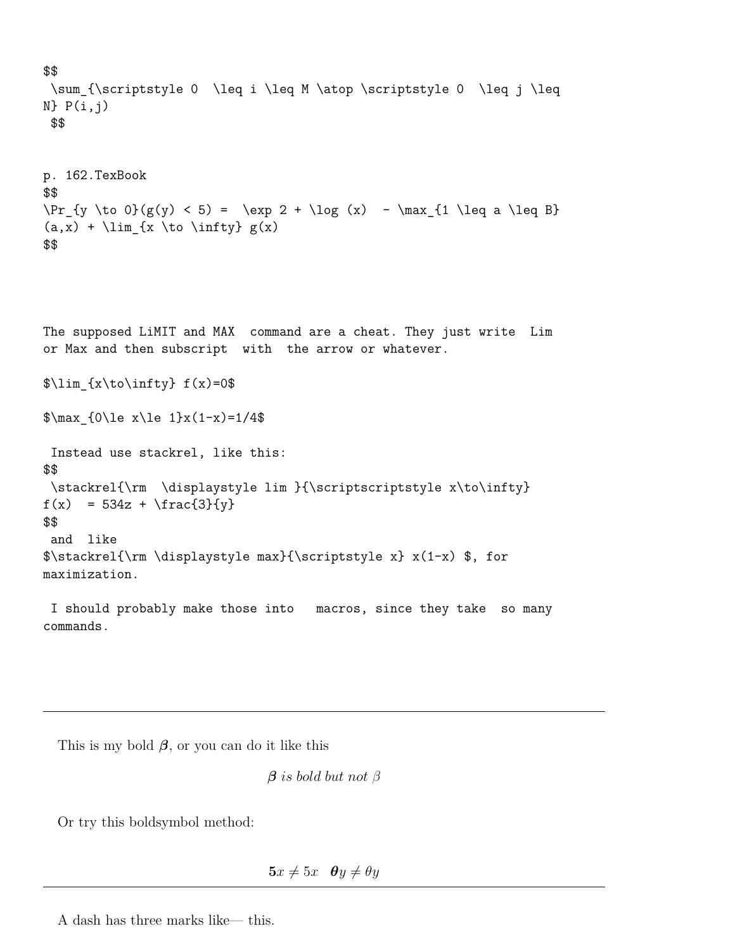```
$$
 \sum_{\scriptstyle 0 \leq i \leq M \atop \scriptstyle 0 \leq j \leq
N} P(i,j)
$$
p. 162.TexBook
$$
\Pr_{y \to 0}(g(y) < 5) = \exp 2 + \log (x) - \max_{1 \leq a \leq B}(a,x) + \lim_{x \to b} \infty$$
```
The supposed LiMIT and MAX command are a cheat. They just write Lim or Max and then subscript with the arrow or whatever.

```
\{\x\to\infty\} f(x)=0
```
 $\max_{0\le x\le 1}x(1-x)=1/4$ 

```
Instead use stackrel, like this:
$$
\stackrel{\rm \displaystyle lim }{\scriptscriptstyle x\to\infty}
f(x) = 534z + \frac{3}{y}$$
and like
$\stackrel{\rm \displaystyle max}{\scriptstyle x} x(1-x) $, for
maximization.
```
I should probably make those into macros, since they take so many commands.

This is my bold *β*, or you can do it like this

*β is bold but not β*

Or try this boldsymbol method:

 $5x \neq 5x$   $\theta y \neq \theta y$ 

A dash has three marks like— this.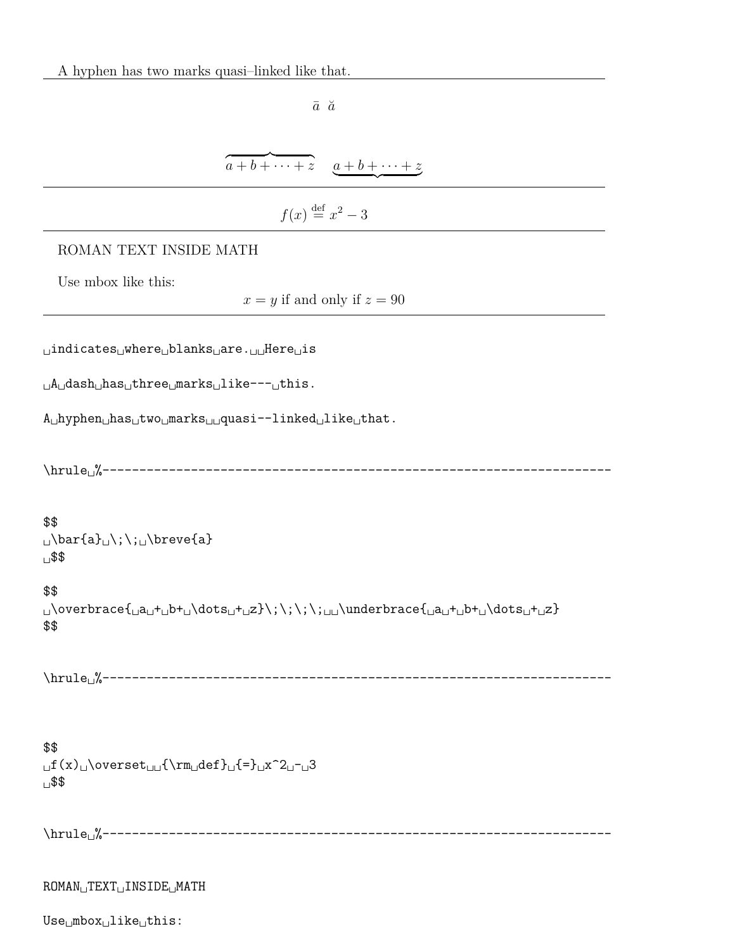| $\bar{a}$ $\breve{a}$                                                                                                                                                                                                                                                                                                                                                                                                                                                       |
|-----------------------------------------------------------------------------------------------------------------------------------------------------------------------------------------------------------------------------------------------------------------------------------------------------------------------------------------------------------------------------------------------------------------------------------------------------------------------------|
|                                                                                                                                                                                                                                                                                                                                                                                                                                                                             |
| $\overbrace{a+b+\cdots+z}^{a+b+\cdots+z}$                                                                                                                                                                                                                                                                                                                                                                                                                                   |
| $f(x) \stackrel{\text{def}}{=} x^2 - 3$                                                                                                                                                                                                                                                                                                                                                                                                                                     |
| ROMAN TEXT INSIDE MATH                                                                                                                                                                                                                                                                                                                                                                                                                                                      |
| Use mbox like this:<br>$x = y$ if and only if $z = 90$                                                                                                                                                                                                                                                                                                                                                                                                                      |
| uindicatesuwhereublanksuare.uuHereuis                                                                                                                                                                                                                                                                                                                                                                                                                                       |
| $_A\Box$ dash $_B$ has $_B$ three $_B$ marks $_B$ like--- $_B$ this.                                                                                                                                                                                                                                                                                                                                                                                                        |
| $A_{\cup}$ hyphen $_{\cup}$ has $_{\cup}$ two $_{\cup}$ marks $_{\cup\cup}$ quasi--linked $_{\cup}$ like $_{\cup}$ that.                                                                                                                                                                                                                                                                                                                                                    |
|                                                                                                                                                                                                                                                                                                                                                                                                                                                                             |
| \$\$<br>$\cup$ \bar{a} $\cup$ \;\; $\cup$ \breve{a}<br>∟\$\$                                                                                                                                                                                                                                                                                                                                                                                                                |
| \$\$<br>\$\$                                                                                                                                                                                                                                                                                                                                                                                                                                                                |
|                                                                                                                                                                                                                                                                                                                                                                                                                                                                             |
| \$\$<br>$_{\text{u}}f(x)_{\text{overset}_{\text{u}}\text{cm}_{\text{u}}\text{cm}_{\text{u}}\text{cm}_{\text{u}}\text{cm}_{\text{u}}\text{cm}_{\text{u}}\text{cm}_{\text{u}}\text{cm}_{\text{u}}\text{cm}_{\text{u}}\text{cm}_{\text{u}}\text{cm}_{\text{u}}\text{cm}_{\text{u}}\text{cm}_{\text{u}}\text{cm}_{\text{u}}\text{cm}_{\text{u}}\text{cm}_{\text{u}}\text{cm}_{\text{u}}\text{cm}_{\text{u}}\text{cm}_{\text{u}}\text{cm}_{\text{u}}\text{cm}_{\text{u$<br>∟\$\$ |
|                                                                                                                                                                                                                                                                                                                                                                                                                                                                             |
| ROMAN <sub>U</sub> TEXT <sub>U</sub> INSIDE <sub>U</sub> MATH                                                                                                                                                                                                                                                                                                                                                                                                               |
| $Use_\Box mbox_\Box like_\Box this$ :                                                                                                                                                                                                                                                                                                                                                                                                                                       |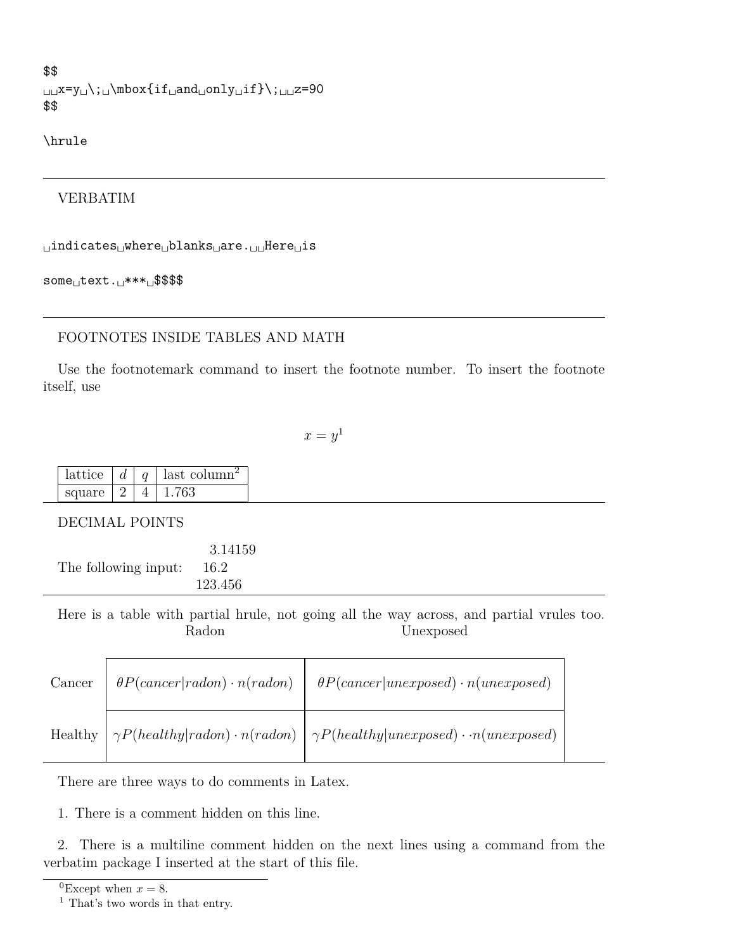```
$$
␣␣x=y␣\;␣\mbox{if␣and␣only␣if}\;␣␣z=90
$$
```

```
\hrule
```
# VERBATIM

␣indicates␣where␣blanks␣are.␣␣Here␣is

some␣text.␣\*\*\*␣\$\$\$\$

# FOOTNOTES INSIDE TABLES AND MATH

Use the footnotemark command to insert the footnote number. To insert the footnote itself, use

 $x = y^1$  $x = y^1$ 

| lattice |  | last column <sup>2</sup> |
|---------|--|--------------------------|
| square  |  |                          |

DECIMAL POINTS

|                      | 3.14159 |
|----------------------|---------|
| The following input: | -16.2   |
|                      | 123.456 |

Here is a table with partial hrule, not going all the way across, and partial vrules too. Radon Unexposed

| Cancer | $\theta P (cancer radon) \cdot n (radon) \quad   \quad \theta P (cancer unexposed) \cdot n (unexposed)$     |
|--------|-------------------------------------------------------------------------------------------------------------|
|        | Healthy $\eta \sim P(headthy   radon) \cdot n(radon)$ $\eta \sim P(headthy   unexposed) \cdot n(unexposed)$ |

There are three ways to do comments in Latex.

1. There is a comment hidden on this line.

2. There is a multiline comment hidden on the next lines using a command from the verbatim package I inserted at the start of this file.

```
<sup>0</sup>Except when x = 8.
```
<span id="page-22-1"></span><sup>1</sup> That's two words in that entry.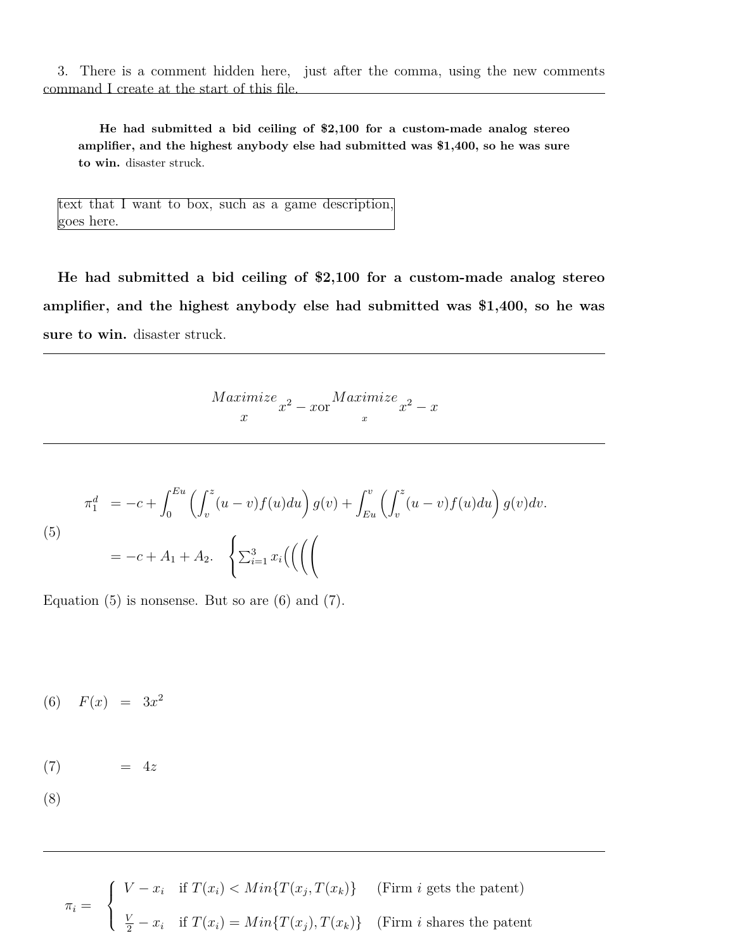3. There is a comment hidden here, just after the comma, using the new comments command I create at the start of this file.

**He had submitted a bid ceiling of \$2,100 for a custom-made analog stereo amplifier, and the highest anybody else had submitted was \$1,400, so he was sure to win.** disaster struck.

text that I want to box, such as a game description, goes here.

**He had submitted a bid ceiling of \$2,100 for a custom-made analog stereo amplifier, and the highest anybody else had submitted was \$1,400, so he was sure to win.** disaster struck.

> *M aximize x*  $x^2$  – *x*or  $Maximize$  $\int_{x}^{u\mu\ell z} x^2 - x$

<span id="page-23-0"></span>(5)  

$$
\pi_1^d = -c + \int_0^{Eu} \left( \int_v^z (u - v) f(u) du \right) g(v) + \int_{Eu}^v \left( \int_v^z (u - v) f(u) du \right) g(v) dv.
$$

$$
= -c + A_1 + A_2. \quad \left\{ \sum_{i=1}^3 x_i \left( \left( \left( \int_0^{u - v} f(u) du \right) g(u) du \right) - \int_{Eu}^v f(u) du \right) g(v) dv \right\} \right\}.
$$

Equation  $(5)$  is nonsense. But so are  $(6)$  and  $(7)$ .

<span id="page-23-1"></span>(6)  $F(x) = 3x^2$ 

$$
(7) \qquad \qquad = \ 4z
$$

$$
(8)
$$

 $\pi_i =$  $\sqrt{ }$  $\int$  $\mathcal{L}$  $V - x_i$  if  $T(x_i) < Min\{T(x_j, T(x_k)\})$  (Firm *i* gets the patent)  $\frac{V}{2} - x_i$  if  $T(x_i) = Min\{T(x_j), T(x_k)\}$  (Firm *i* shares the patent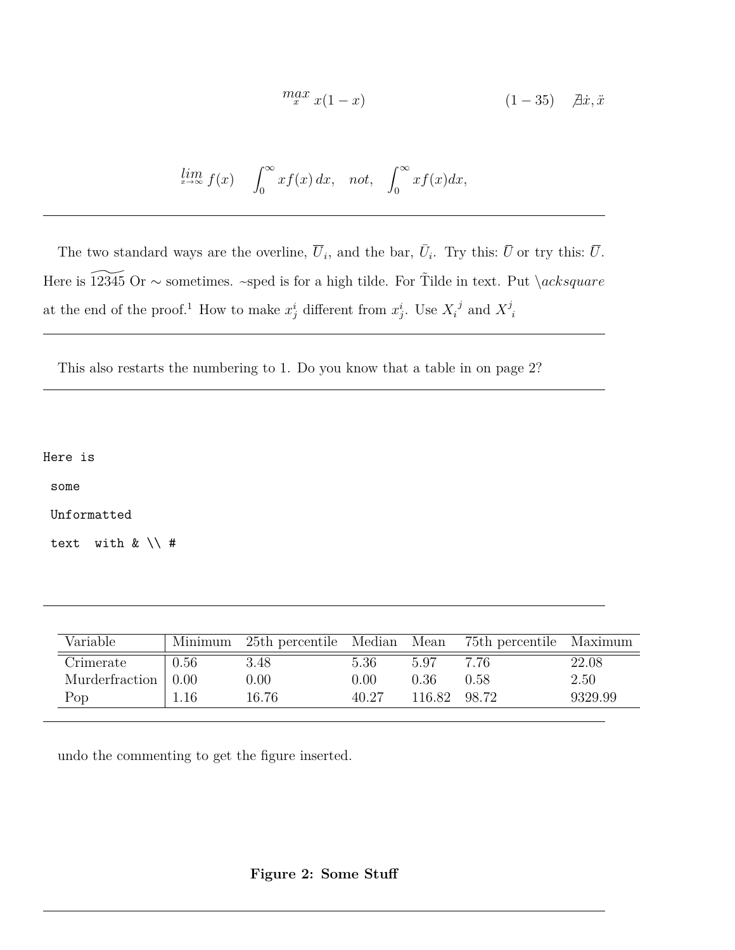$$
\max_{x} x(1-x) \qquad (1-35) \quad \text{ax } x, \ddot{x}
$$

$$
\lim_{x \to \infty} f(x) \quad \int_0^\infty x f(x) \, dx, \quad not, \quad \int_0^\infty x f(x) \, dx,
$$

The two standard ways are the overline,  $\overline{U}_i$ , and the bar,  $\overline{U}_i$ . Try this:  $\overline{U}$  or try this:  $\overline{U}$ . Here is 12345 Or ∼ sometimes. ~sped is for a high tilde. For Tilde in text. Put *\acksquare* at the end of the proof.<sup>1</sup> How to make  $x_j^i$  different from  $x_j^i$ . Use  $X_i^j$  and  $X_j^j$ *i*

This also restarts the numbering to 1. Do you know that a table in on page [2?](#page-23-1)

Here is

some

Unformatted

text with & \\ #

| Variable       | Minimum | 25th percentile Median Mean |       |        | 75th percentile Maximum |         |
|----------------|---------|-----------------------------|-------|--------|-------------------------|---------|
| Crimerate      | 0.56    | 3.48                        | 5.36  | 5.97   | 7.76                    | 22.08   |
| Murderfraction | 0.00    | 0.00                        | 0.00  | 0.36   | 0.58                    | 2.50    |
| Pop            | 1.16    | 16.76                       | 40.27 | 116.82 | 98.72                   | 9329.99 |

undo the commenting to get the figure inserted.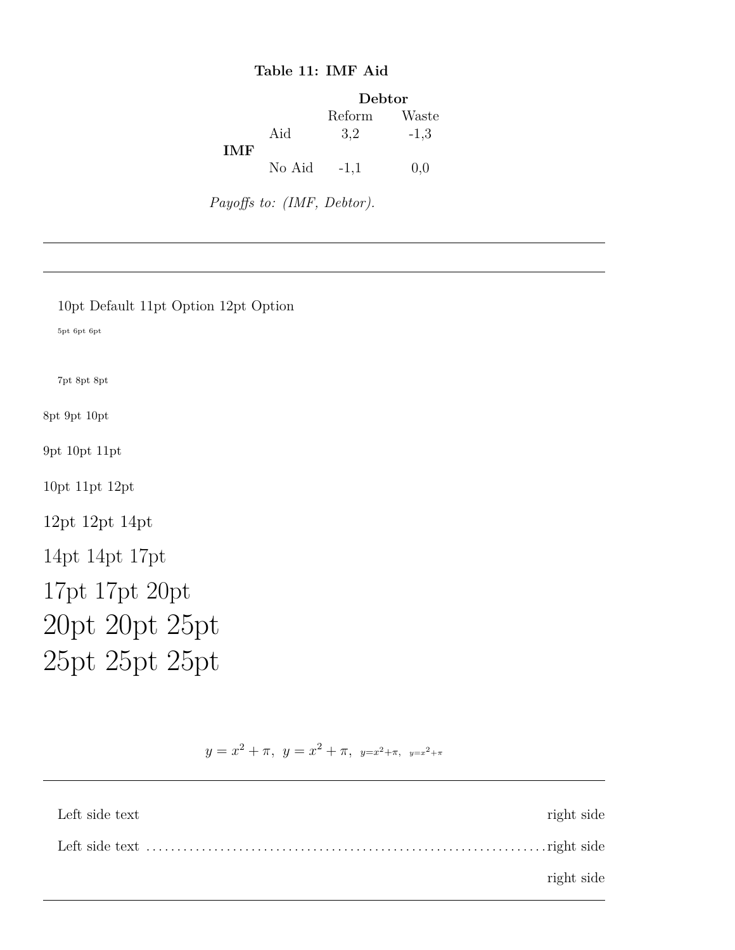# **Table 11: IMF Aid**

|            |        | Debtor |        |
|------------|--------|--------|--------|
|            |        | Reform | Waste  |
| <b>IMF</b> | Aid    | 3,2    | $-1,3$ |
|            | No Aid | $-1,1$ | 0.0    |

*Payoffs to: (IMF, Debtor).*

| 10pt Default 11pt Option 12pt Option |
|--------------------------------------|
| 5pt 6pt 6pt                          |
|                                      |
| 7pt 8pt 8pt                          |
| 8pt 9pt 10pt                         |
| 9pt 10pt 11pt                        |
| 10pt 11pt 12pt                       |
| 12pt 12pt 14pt                       |
| 14pt 14pt 17pt                       |
| 17pt 17pt 20pt                       |
| 20pt 20pt 25pt                       |
| 25pt 25pt 25pt                       |

 $y = x^2 + \pi$ ,  $y = x^2 + \pi$ ,  $y=x^2+\pi$ ,  $y=x^2+\pi$ 

| Left side text | right side |
|----------------|------------|
|                |            |
|                | right side |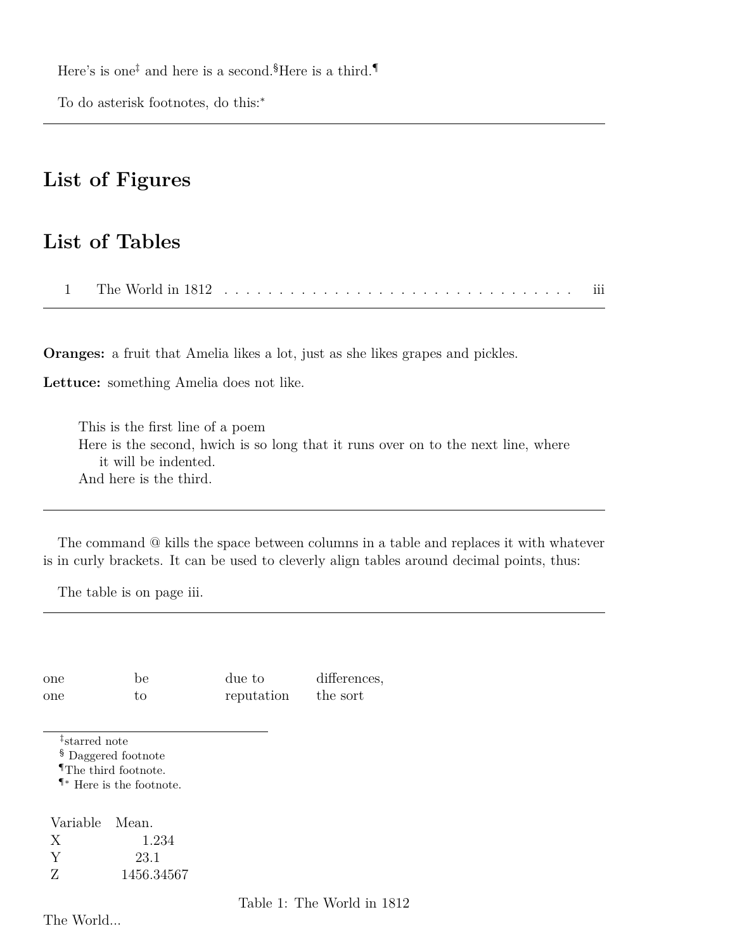Here's is one<sup> $\ddagger$ </sup> and here is a second.<sup>[§](#page-26-1)</sup>Here is a third.<sup>[¶](#page-26-2)</sup>

To do asterisk footnotes, do this:<sup>∗</sup>

# **List of Figures**

# <span id="page-26-4"></span>**List of Tables**

[1 The World in 1812](#page-26-3) . . . . . . . . . . . . . . . . . . . . . . . . . . . . . . . . iii

**Oranges:** a fruit that Amelia likes a lot, just as she likes grapes and pickles.

**Lettuce:** something Amelia does not like.

This is the first line of a poem Here is the second, hwich is so long that it runs over on to the next line, where it will be indented. And here is the third.

The command @ kills the space between columns in a table and replaces it with whatever is in curly brackets. It can be used to cleverly align tables around decimal points, thus:

The table is on page [iii.](#page-26-4)

one be due to differences, one to reputation the sort

<span id="page-26-0"></span>‡ starred note

<span id="page-26-1"></span>§ Daggered footnote

<span id="page-26-2"></span>¶The third footnote.

¶∗ Here is the footnote.

Variable Mean. X 1.234 Y 23.1 Z 1456.34567

<span id="page-26-3"></span>Table 1: The World in 1812

The World...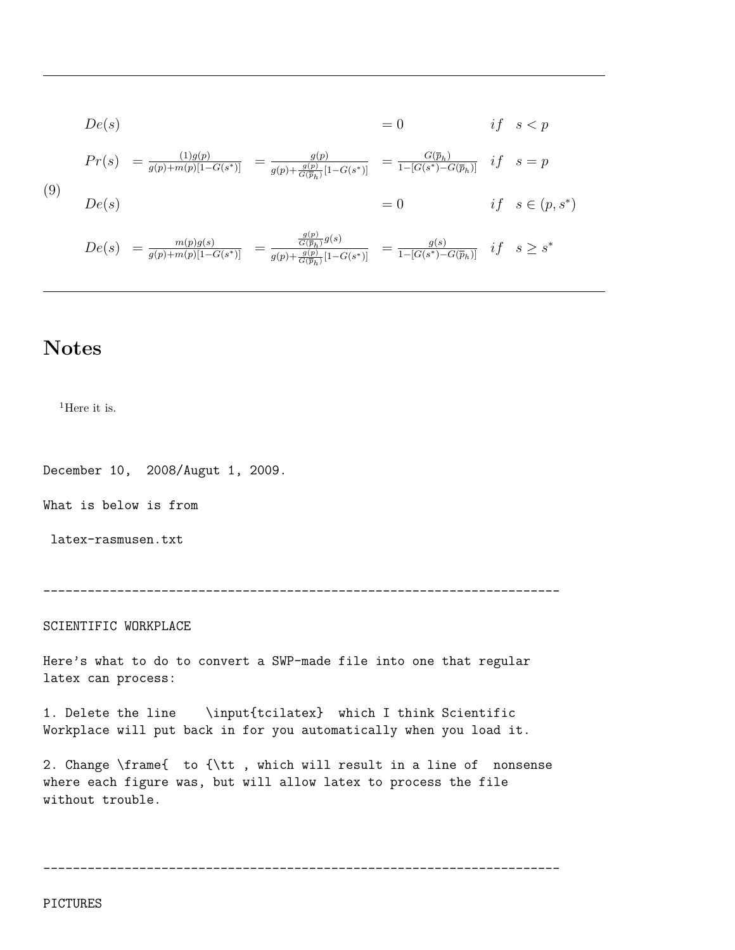$$
De(s) = \frac{1}{g(p) + m(p)[1 - G(s^*)]} = \frac{g(p)}{g(p) + \frac{g(p)}{G(\overline{p}_h)}[1 - G(s^*)]} = \frac{G(\overline{p}_h)}{1 - [G(s^*) - G(\overline{p}_h)]} \quad if \quad s = p
$$
\n(9)\n
$$
De(s) = \frac{m(p)g(s)}{g(p) + m(p)[1 - G(s^*)]} = \frac{\frac{g(p)}{G(\overline{p}_h)}g(s)}{g(p) + \frac{g(p)}{G(\overline{p}_h)}[1 - G(s^*)]} = \frac{g(s)}{1 - [G(s^*) - G(\overline{p}_h)]} \quad if \quad s \ge s^*
$$

# **Notes**

 $^1\mathrm{Here}$  it is.

December 10, 2008/Augut 1, 2009.

What is below is from

latex-rasmusen.txt

----------------------------------------------------------------------

SCIENTIFIC WORKPLACE

Here's what to do to convert a SWP-made file into one that regular latex can process:

1. Delete the line \input{tcilatex} which I think Scientific Workplace will put back in for you automatically when you load it.

2. Change \frame{ to {\tt , which will result in a line of nonsense where each figure was, but will allow latex to process the file without trouble.

----------------------------------------------------------------------

PICTURES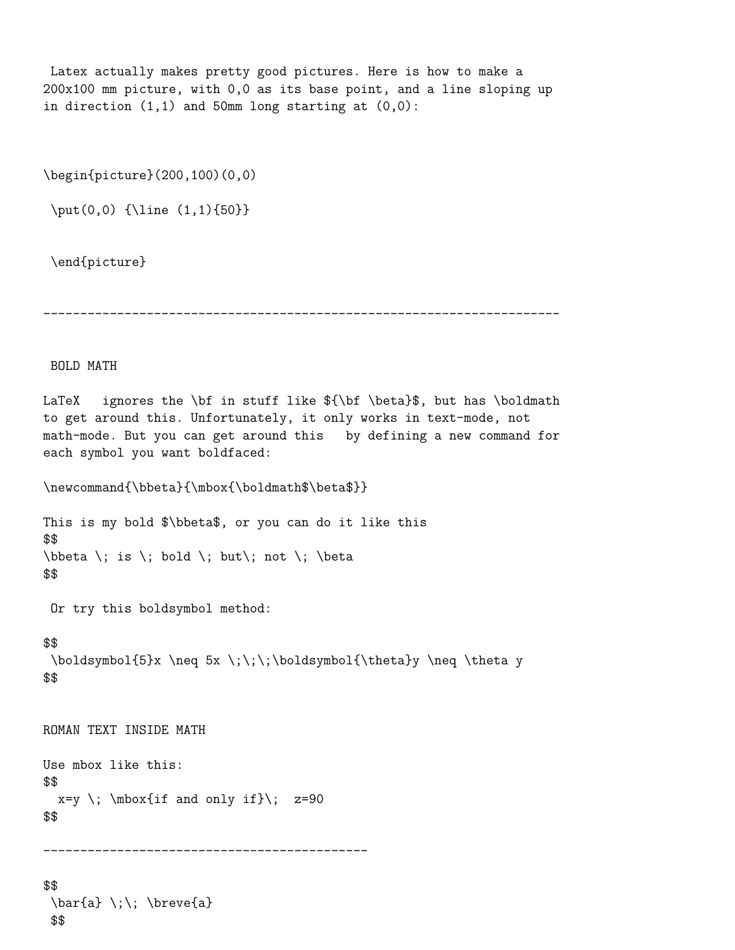Latex actually makes pretty good pictures. Here is how to make a 200x100 mm picture, with 0,0 as its base point, and a line sloping up in direction  $(1,1)$  and 50mm long starting at  $(0,0)$ :

\begin{picture}(200,100)(0,0)

\put(0,0) {\line (1,1){50}}

\end{picture}

----------------------------------------------------------------------

BOLD MATH

LaTeX ignores the \bf in stuff like  $\{\bf \beta\$ , but has \boldmath to get around this. Unfortunately, it only works in text-mode, not math-mode. But you can get around this by defining a new command for each symbol you want boldfaced:

```
\newcommand{\bbeta}{\mbox{\boldmath$\beta$}}
```
This is my bold \$\bbeta\$, or you can do it like this \$\$ \bbeta \; is \; bold \; but\; not \; \beta \$\$

Or try this boldsymbol method:

#### \$\$

```
\boldsymbol{5}x \neq 5x \;\;\;\boldsymbol{\theta}y \neq \theta y
$$
```
ROMAN TEXT INSIDE MATH

Use mbox like this: \$\$  $x=y \; \; \mbox{if and only if}\; z=90$ \$\$

--------------------------------------------

```
$$
 \bar{a} \;\; \breve{a}
 $$
```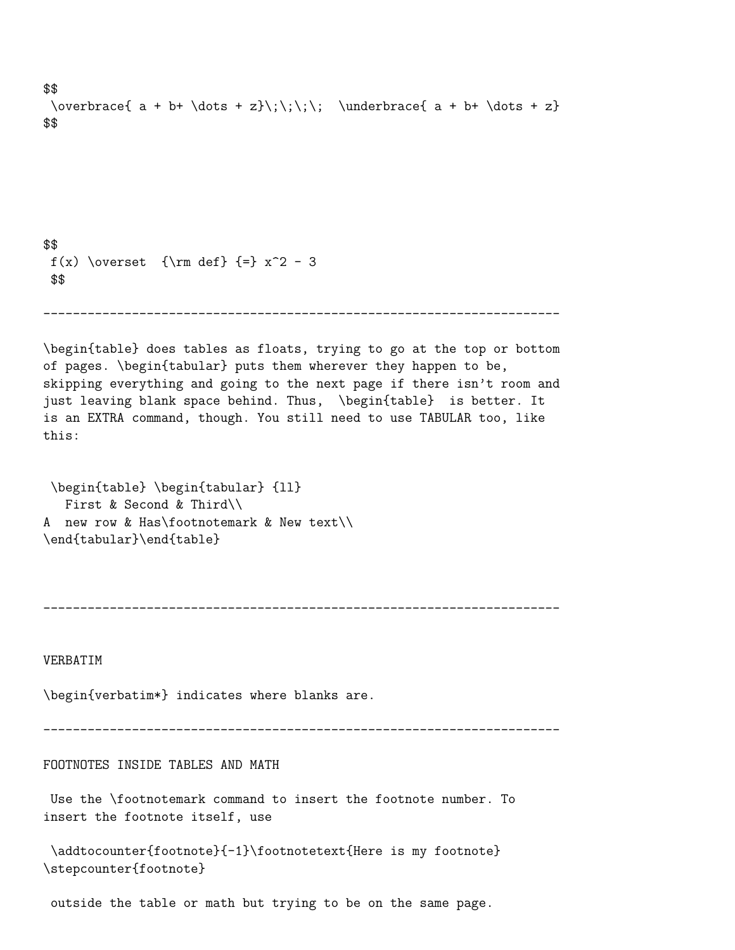```
$$
 \overbrace{ a + b+ \dots + z} \; \; \; \; \; \; \; \; a + b + \dots + z}$$
$$
 f(x) \overset \{rm def} { \} x^2 - 3$$
                          ----------------------------------------------------------------------
\begin{table} does tables as floats, trying to go at the top or bottom
of pages. \begin{tabular} puts them wherever they happen to be,
skipping everything and going to the next page if there isn't room and
just leaving blank space behind. Thus, \begin{table} is better. It
is an EXTRA command, though. You still need to use TABULAR too, like
this:
\begin{table} \begin{tabular} {ll}
   First & Second & Third\\
```
A new row & Has\footnotemark & New text\\ \end{tabular}\end{table}

----------------------------------------------------------------------

VERBATIM

\begin{verbatim\*} indicates where blanks are.

----------------------------------------------------------------------

FOOTNOTES INSIDE TABLES AND MATH

Use the \footnotemark command to insert the footnote number. To insert the footnote itself, use

\addtocounter{footnote}{-1}\footnotetext{Here is my footnote} \stepcounter{footnote}

outside the table or math but trying to be on the same page.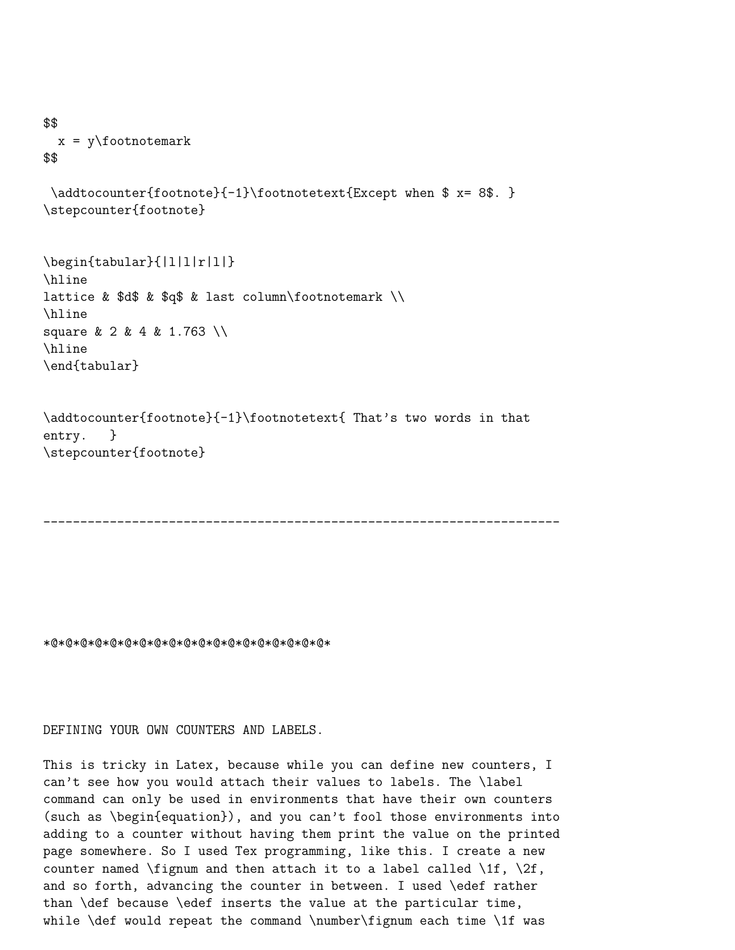```
$$
  x = y \cdotfootnotemark
$$
```

```
\addtocounter{footnote}{-1}\footnotetext{Except when $ x= 8$. }
\stepcounter{footnote}
```
\begin{tabular}{|l|l|r|l|} \hline lattice &  $d$ \$ &  $dq$ \$ & last column\footnotemark \\ \hline square & 2 & 4 & 1.763 \\ \hline \end{tabular}

```
\addtocounter{footnote}{-1}\footnotetext{ That's two words in that
entry. }
\stepcounter{footnote}
```

```
----------------------------------------------------------------------
```
\*@\*@\*@\*@\*@\*@\*@\*@\*@\*@\*@\*@\*@\*@\*@\*@\*@\*@\*@\*

DEFINING YOUR OWN COUNTERS AND LABELS.

This is tricky in Latex, because while you can define new counters, I can't see how you would attach their values to labels. The \label command can only be used in environments that have their own counters (such as \begin{equation}), and you can't fool those environments into adding to a counter without having them print the value on the printed page somewhere. So I used Tex programming, like this. I create a new counter named \fignum and then attach it to a label called \1f, \2f, and so forth, advancing the counter in between. I used \edef rather than \def because \edef inserts the value at the particular time, while  $\def$  would repeat the command  $\number\fig$  each time  $1f$  was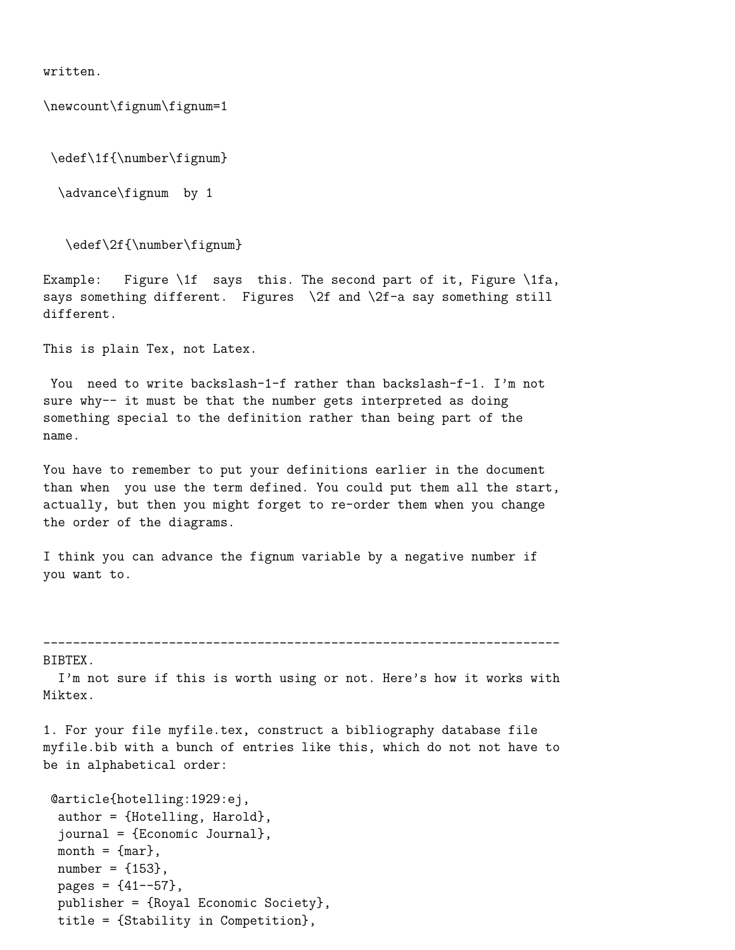written.

\newcount\fignum\fignum=1

\edef\1f{\number\fignum}

\advance\fignum by 1

\edef\2f{\number\fignum}

Example: Figure \1f says this. The second part of it, Figure \1fa, says something different. Figures \2f and \2f-a say something still different.

This is plain Tex, not Latex.

You need to write backslash-1-f rather than backslash-f-1. I'm not sure why-- it must be that the number gets interpreted as doing something special to the definition rather than being part of the name.

You have to remember to put your definitions earlier in the document than when you use the term defined. You could put them all the start, actually, but then you might forget to re-order them when you change the order of the diagrams.

I think you can advance the fignum variable by a negative number if you want to.

----------------------------------------------------------------------

BIBTEX.

I'm not sure if this is worth using or not. Here's how it works with Miktex.

1. For your file myfile.tex, construct a bibliography database file myfile.bib with a bunch of entries like this, which do not not have to be in alphabetical order:

```
@article{hotelling:1929:ej,
 author = {Hotelling, Harold},
 journal = {Economic Journal},
month = \{mar\},
number = {153},
pages = {41--57},
publisher = {Royal Economic Society},
 title = {Stability in Competition},
```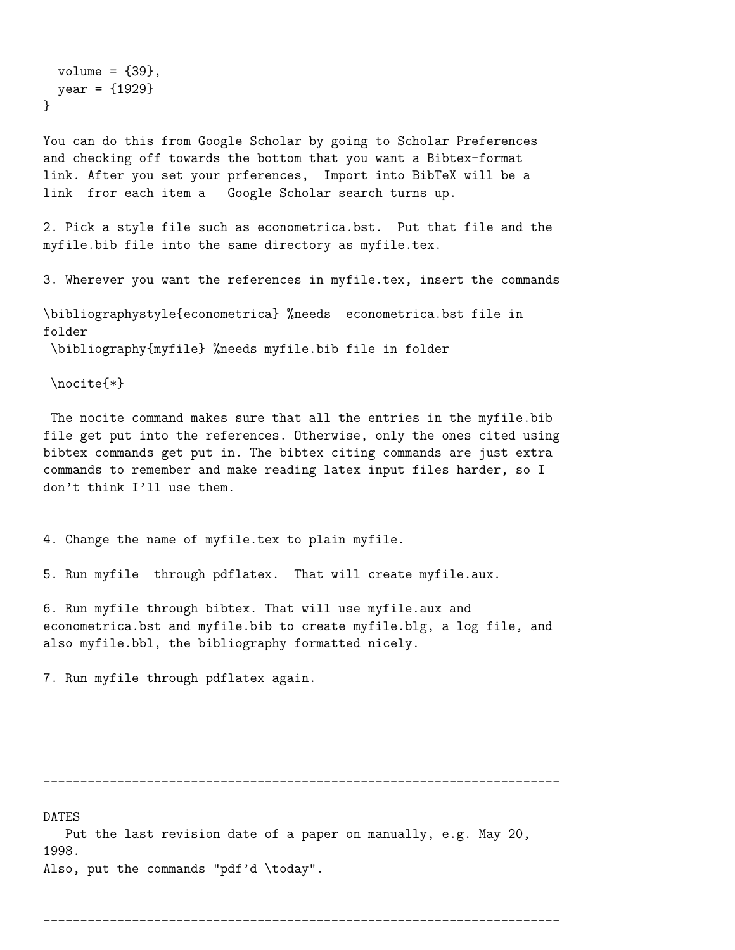```
volume = {39},
 year = {1929}
}
```
You can do this from Google Scholar by going to Scholar Preferences and checking off towards the bottom that you want a Bibtex-format link. After you set your prferences, Import into BibTeX will be a link fror each item a Google Scholar search turns up.

2. Pick a style file such as econometrica.bst. Put that file and the myfile.bib file into the same directory as myfile.tex.

3. Wherever you want the references in myfile.tex, insert the commands

\bibliographystyle{econometrica} %needs econometrica.bst file in folder \bibliography{myfile} %needs myfile.bib file in folder

\nocite{\*}

The nocite command makes sure that all the entries in the myfile.bib file get put into the references. Otherwise, only the ones cited using bibtex commands get put in. The bibtex citing commands are just extra commands to remember and make reading latex input files harder, so I don't think I'll use them.

4. Change the name of myfile.tex to plain myfile.

5. Run myfile through pdflatex. That will create myfile.aux.

6. Run myfile through bibtex. That will use myfile.aux and econometrica.bst and myfile.bib to create myfile.blg, a log file, and also myfile.bbl, the bibliography formatted nicely.

7. Run myfile through pdflatex again.

----------------------------------------------------------------------

DATES

Put the last revision date of a paper on manually, e.g. May 20, 1998. Also, put the commands "pdf'd \today".

```
----------------------------------------------------------------------
```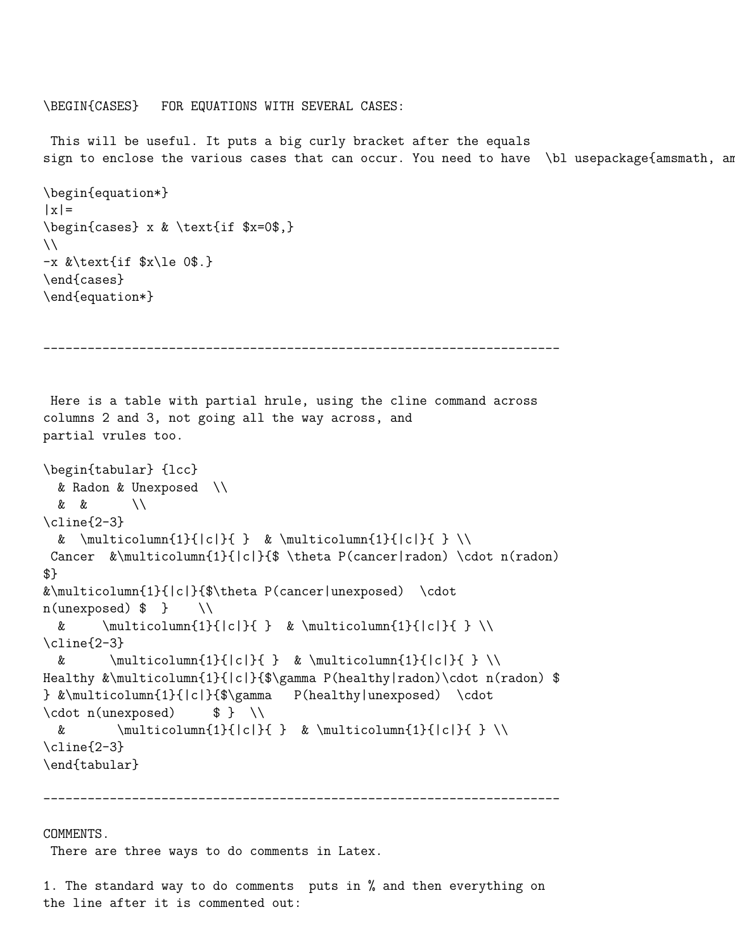\BEGIN{CASES} FOR EQUATIONS WITH SEVERAL CASES:

This will be useful. It puts a big curly bracket after the equals sign to enclose the various cases that can occur. You need to have \bl usepackage{amsmath, am

```
\begin{equation*}
|x|\begin{cases} x & \text{if $x=0$,}
\setminus-x &\text{if $x\le 0$.}
\end{cases}
\end{equation*}
```

```
----------------------------------------------------------------------
```

```
Here is a table with partial hrule, using the cline command across
columns 2 and 3, not going all the way across, and
partial vrules too.
```

```
\begin{tabular} {lcc}
 & Radon & Unexposed \\
 & & \\
\cline{2-3}
 & \multicolumn{1}{|c|}{ } & \multicolumn{1}{|c|}{ } \\
Cancer &\multicolumn{1}{|c|}{$ \theta P(cancer|radon) \cdot n(radon)
$}
&\multicolumn{1}{|c|}{$\theta P(cancer|unexposed) \cdot
n(unexposed) $ } \\
 & \multicolumn{1}{|c|}{ } & \multicolumn{1}{|c|}{ } \\
\cline{2-3}
 & \multicolumn{1}{|c|}{ } & \multicolumn{1}{|c|}{ } \\
Healthy &\multicolumn{1}{|c|}{$\gamma P(healthy|radon)\cdot n(radon) $
} &\multicolumn{1}{|c|}{$\gamma P(healthy|unexposed) \cdot
\cdot \cdot \cdot n(unexposed) $ } \
 & \text{multicolumn{1}{|c|}{ k \mathbf{black}}\cline{2-3}
\end{tabular}
```
----------------------------------------------------------------------

#### COMMENTS.

There are three ways to do comments in Latex.

1. The standard way to do comments puts in % and then everything on the line after it is commented out: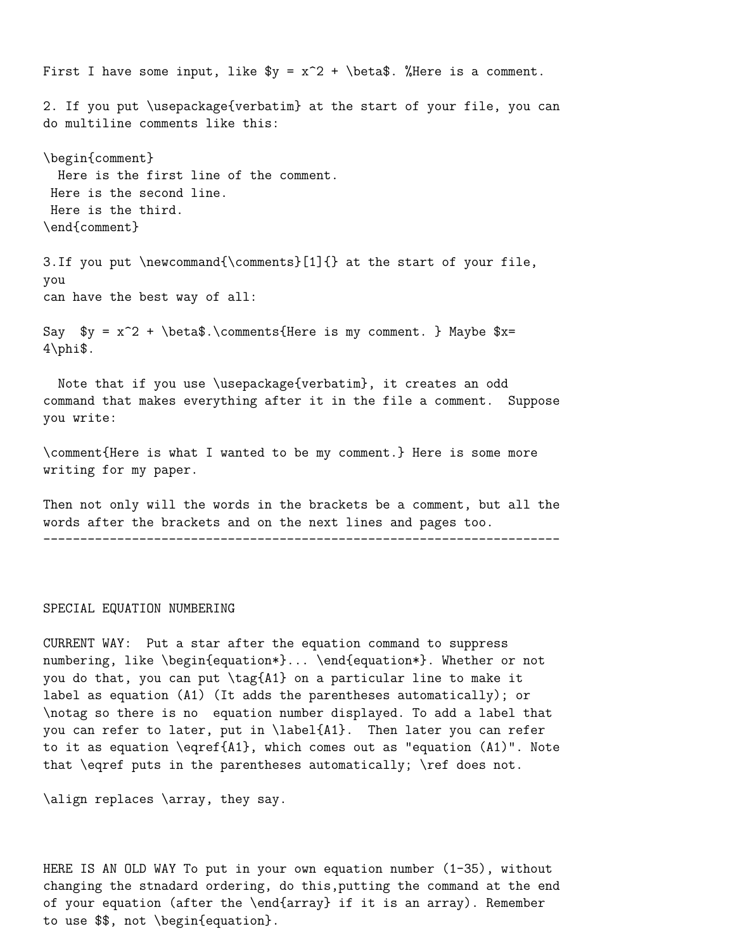First I have some input, like  $y = x^2 + \beta$ . "Here is a comment. 2. If you put \usepackage{verbatim} at the start of your file, you can do multiline comments like this: \begin{comment} Here is the first line of the comment. Here is the second line. Here is the third. \end{comment} 3.If you put \newcommand{\comments}[1]{} at the start of your file, you can have the best way of all: Say  $y = x^2 + \beta.\comments{Here is my comment. } Maybe $x=$  $4\phi$ : Note that if you use \usepackage{verbatim}, it creates an odd command that makes everything after it in the file a comment. Suppose you write:

\comment{Here is what I wanted to be my comment.} Here is some more writing for my paper.

Then not only will the words in the brackets be a comment, but all the words after the brackets and on the next lines and pages too. ----------------------------------------------------------------------

#### SPECIAL EQUATION NUMBERING

CURRENT WAY: Put a star after the equation command to suppress numbering, like \begin{equation\*}... \end{equation\*}. Whether or not you do that, you can put \tag{A1} on a particular line to make it label as equation (A1) (It adds the parentheses automatically); or \notag so there is no equation number displayed. To add a label that you can refer to later, put in \label{A1}. Then later you can refer to it as equation \eqref{A1}, which comes out as "equation (A1)". Note that \eqref puts in the parentheses automatically; \ref does not.

\align replaces \array, they say.

HERE IS AN OLD WAY To put in your own equation number (1-35), without changing the stnadard ordering, do this,putting the command at the end of your equation (after the \end{array} if it is an array). Remember to use \$\$, not \begin{equation}.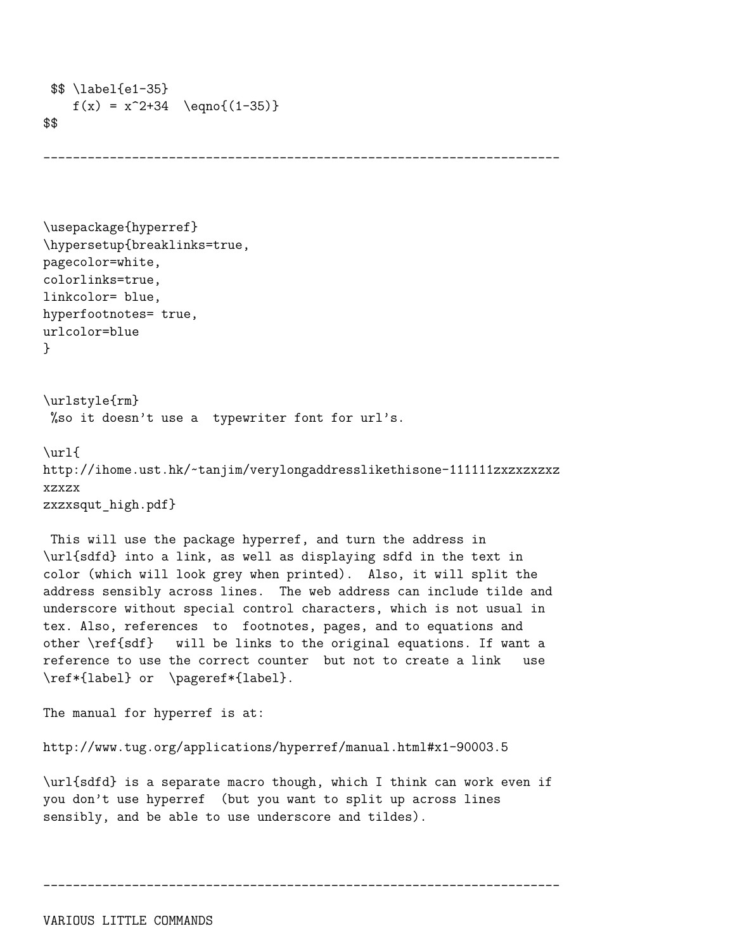```
$$ \label{e1-35}
    f(x) = x^2+34 \text{eqno}(1-35)$$
```

```
----------------------------------------------------------------------
```

```
\usepackage{hyperref}
\hypersetup{breaklinks=true,
pagecolor=white,
colorlinks=true,
linkcolor= blue,
hyperfootnotes= true,
urlcolor=blue
}
```

```
\urlstyle{rm}
%so it doesn't use a typewriter font for url's.
```

```
\url{
http://ihome.ust.hk/~tanjim/verylongaddresslikethisone-111111zxzxzxzxz
xzxzx
zxzxsqut high.pdf}
```
This will use the package hyperref, and turn the address in \url{sdfd} into a link, as well as displaying sdfd in the text in color (which will look grey when printed). Also, it will split the address sensibly across lines. The web address can include tilde and underscore without special control characters, which is not usual in tex. Also, references to footnotes, pages, and to equations and other \ref{sdf} will be links to the original equations. If want a reference to use the correct counter but not to create a link use \ref\*{label} or \pageref\*{label}.

The manual for hyperref is at:

```
http://www.tug.org/applications/hyperref/manual.html#x1-90003.5
```
\url{sdfd} is a separate macro though, which I think can work even if you don't use hyperref (but you want to split up across lines sensibly, and be able to use underscore and tildes).

```
----------------------------------------------------------------------
```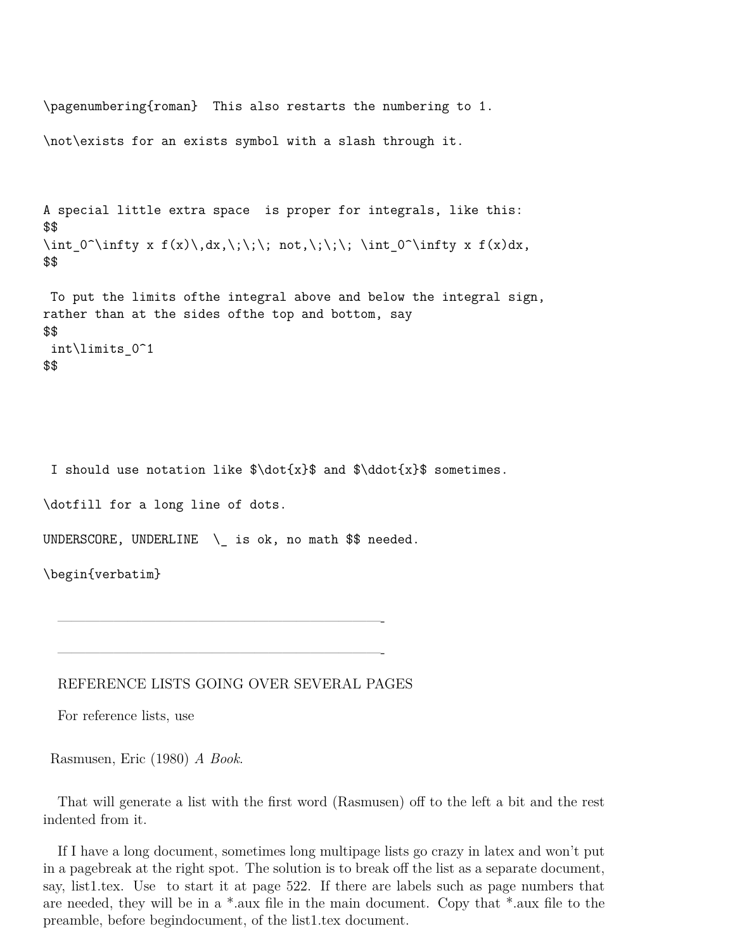```
\pagenumbering{roman} This also restarts the numbering to 1.
\not\exists for an exists symbol with a slash through it.
A special little extra space is proper for integrals, like this:
$$
\int 0^{\infty} x f(x)\,dx,\;\;\to\ not,\;\;\; \int 0^{\infty} x f(x)dx,
$$
To put the limits ofthe integral above and below the integral sign,
rather than at the sides ofthe top and bottom, say
$$
```

```
int\limits_0^1
$$
```
I should use notation like  $\dot{x}$  and  $\ddot{x}$  sometimes.

\dotfill for a long line of dots.

UNDERSCORE, UNDERLINE  $\setminus$  is ok, no math \$\$ needed.

\begin{verbatim}

REFERENCE LISTS GOING OVER SEVERAL PAGES

———————————————————————-

———————————————————————-

For reference lists, use

Rasmusen, Eric (1980) *A Book*.

That will generate a list with the first word (Rasmusen) off to the left a bit and the rest indented from it.

If I have a long document, sometimes long multipage lists go crazy in latex and won't put in a pagebreak at the right spot. The solution is to break off the list as a separate document, say, list1.tex. Use to start it at page 522. If there are labels such as page numbers that are needed, they will be in a \*.aux file in the main document. Copy that \*.aux file to the preamble, before begindocument, of the list1.tex document.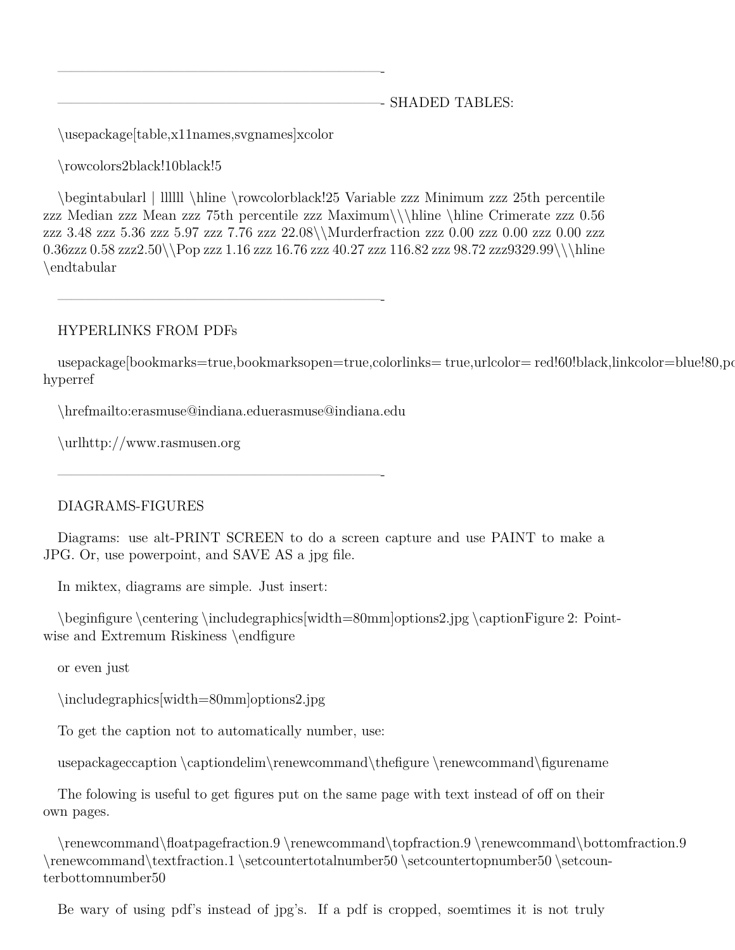———————————————————————- SHADED TABLES:

\usepackage[table,x11names,svgnames]xcolor

———————————————————————-

\rowcolors2black!10black!5

\begintabularl | llllll \hline \rowcolorblack!25 Variable zzz Minimum zzz 25th percentile zzz Median zzz Mean zzz 75th percentile zzz Maximum\\\hline \hline Crimerate zzz 0.56 zzz 3.48 zzz 5.36 zzz 5.97 zzz 7.76 zzz 22.08\\Murderfraction zzz 0.00 zzz 0.00 zzz 0.00 zzz 0.36zzz 0.58 zzz2.50\\Pop zzz 1.16 zzz 16.76 zzz 40.27 zzz 116.82 zzz 98.72 zzz9329.99\\\hline \endtabular

———————————————————————-

# HYPERLINKS FROM PDFs

usepackage[bookmarks=true,bookmarksopen=true,colorlinks= true,urlcolor= red!60!black,linkcolor=blue!80,po hyperref

\hrefmailto:erasmuse@indiana.eduerasmuse@indiana.edu

\urlhttp://www.rasmusen.org

———————————————————————-

# DIAGRAMS-FIGURES

Diagrams: use alt-PRINT SCREEN to do a screen capture and use PAINT to make a JPG. Or, use powerpoint, and SAVE AS a jpg file.

In miktex, diagrams are simple. Just insert:

\beginfigure \centering \includegraphics[width=80mm]options2.jpg \captionFigure 2: Pointwise and Extremum Riskiness \endfigure

or even just

\includegraphics[width=80mm]options2.jpg

To get the caption not to automatically number, use:

usepackageccaption \captiondelim\renewcommand\thefigure \renewcommand\figurename

The folowing is useful to get figures put on the same page with text instead of off on their own pages.

\renewcommand\floatpagefraction.9 \renewcommand\topfraction.9 \renewcommand\bottomfraction.9 \renewcommand\textfraction.1 \setcountertotalnumber50 \setcountertopnumber50 \setcounterbottomnumber50

Be wary of using pdf's instead of jpg's. If a pdf is cropped, soemtimes it is not truly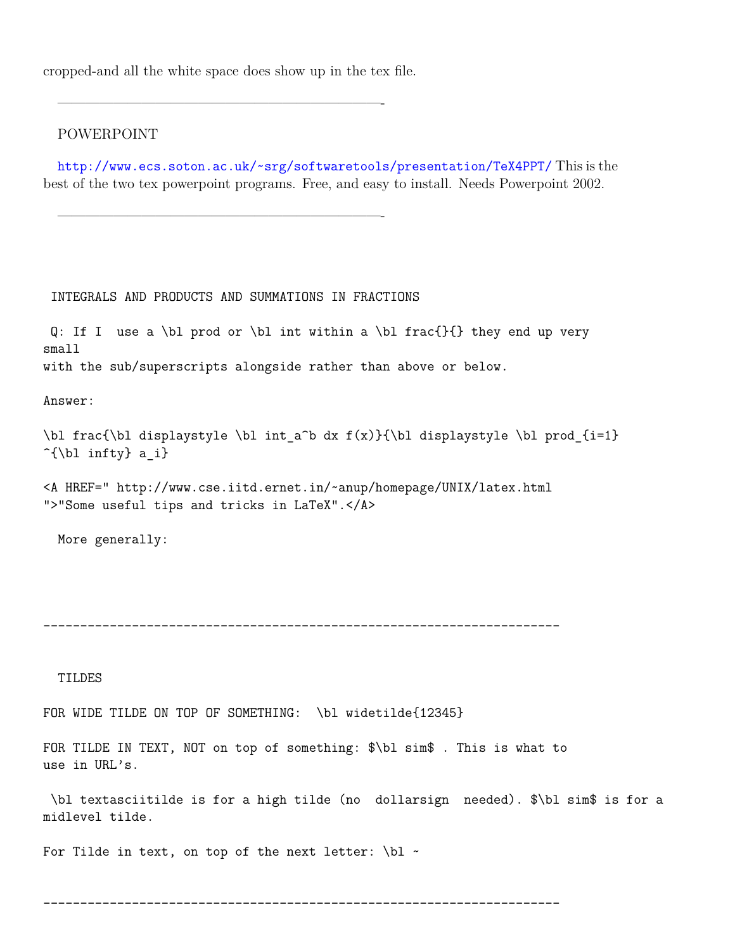cropped-and all the white space does show up in the tex file.

———————————————————————-

———————————————————————-

#### POWERPOINT

<http://www.ecs.soton.ac.uk/~srg/softwaretools/presentation/TeX4PPT/> This is the best of the two tex powerpoint programs. Free, and easy to install. Needs Powerpoint 2002.

INTEGRALS AND PRODUCTS AND SUMMATIONS IN FRACTIONS

Q: If I use a \bl prod or \bl int within a \bl frac{}{} they end up very small with the sub/superscripts alongside rather than above or below.

Answer:

\bl frac{\bl displaystyle \bl int a^b dx  $f(x)$ }{\bl displaystyle \bl prod {i=1}  $\hat{\cup}$  infty} a i}

<A HREF=" http://www.cse.iitd.ernet.in/~anup/homepage/UNIX/latex.html ">"Some useful tips and tricks in LaTeX".</A>

More generally:

----------------------------------------------------------------------

TILDES

FOR WIDE TILDE ON TOP OF SOMETHING: \bl widetilde{12345}

FOR TILDE IN TEXT, NOT on top of something: \$\bl sim\$ . This is what to use in URL's.

\bl textasciitilde is for a high tilde (no dollarsign needed). \$\bl sim\$ is for a midlevel tilde.

For Tilde in text, on top of the next letter:  $\blacksquare$ 

----------------------------------------------------------------------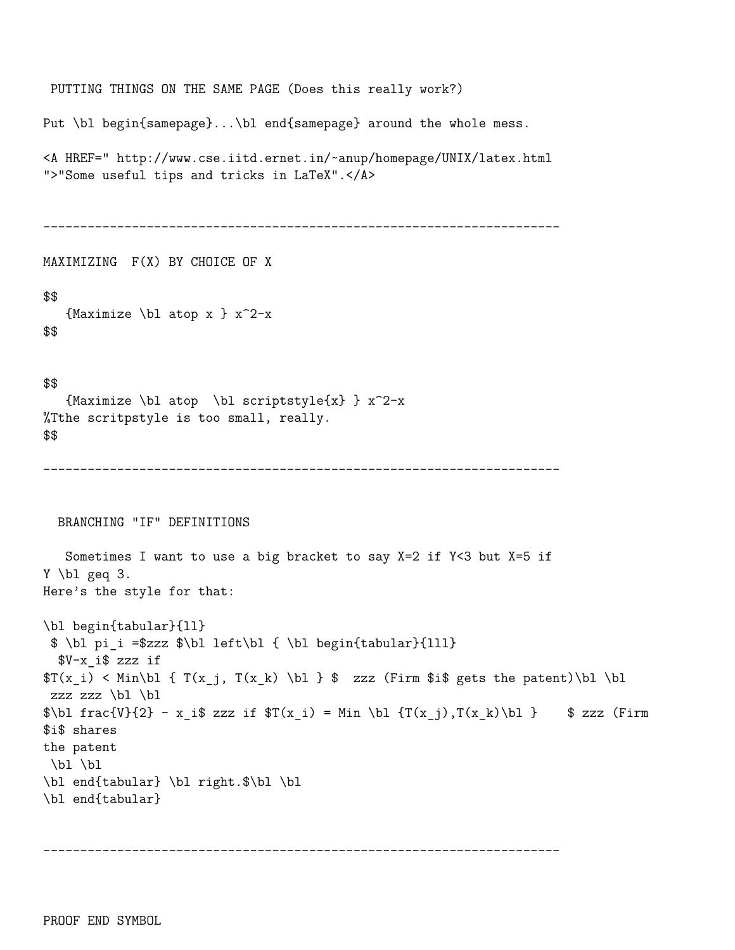```
PUTTING THINGS ON THE SAME PAGE (Does this really work?)
Put \bl begin{samepage}...\bl end{samepage} around the whole mess.
<A HREF=" http://www.cse.iitd.ernet.in/~anup/homepage/UNIX/latex.html
">"Some useful tips and tricks in LaTeX".</A>
 ----------------------------------------------------------------------
MAXIMIZING F(X) BY CHOICE OF X
$$
   {Maximize \bl atop x } x^2-x$$
$$
   {Maximize \bl atop \bl scriptstyle{x} } x^2-x%Tthe scritpstyle is too small, really.
$$
 ----------------------------------------------------------------------
 BRANCHING "IF" DEFINITIONS
   Sometimes I want to use a big bracket to say X=2 if Y<3 but X=5 if
Y \bl geq 3.
Here's the style for that:
\bl begin{tabular}{ll}
 $ \bl pi_i =$zzz $\bl left\bl { \bl begin{tabular}{lll}
  $V-x_i$ zzz if
T(x_i) < Min\bl { T(x_i, T(x_k) \b] } $ zzz (Firm $i$ gets the patent)\bl \bl
 zzz zz \in \bmod\b{b} frac{V}{2} - x i$ zzz if T(x_i) = Min \b{ } T(x_j), T(x_k)\b{ } $ zzz (Firm
$i$ shares
the patent
\bl \bl
\bl end{tabular} \bl right.$\bl \bl
\bl end{tabular}
```

```
----------------------------------------------------------------------
```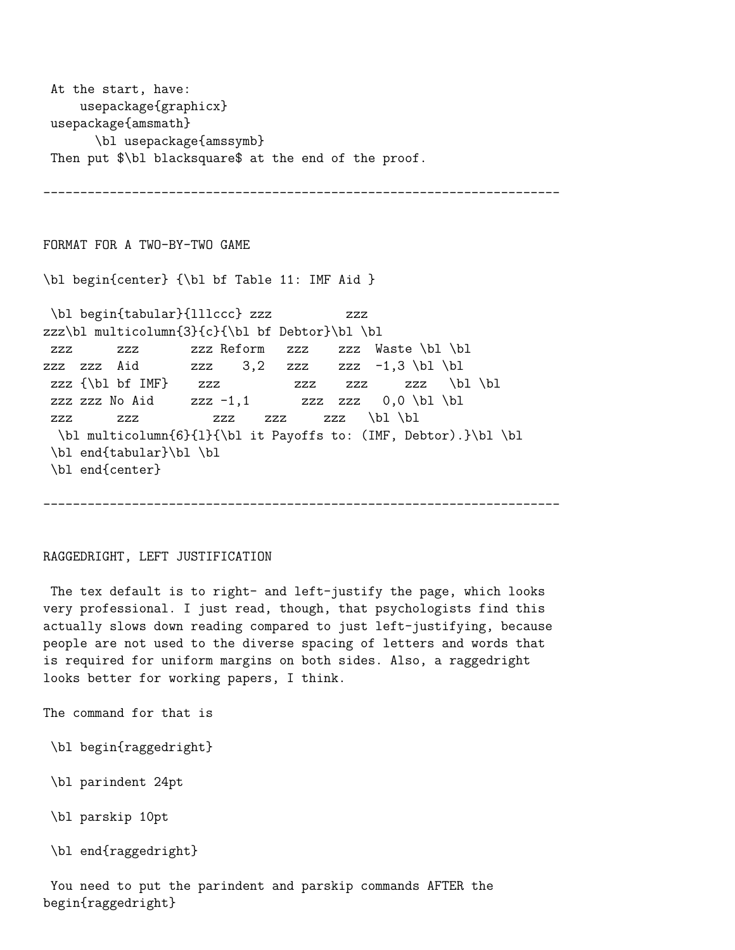```
At the start, have:
    usepackage{graphicx}
usepackage{amsmath}
      \bl usepackage{amssymb}
Then put $\bl blacksquare$ at the end of the proof.
```
FORMAT FOR A TWO-BY-TWO GAME \bl begin{center} {\bl bf Table 11: IMF Aid } \bl begin{tabular}{lllccc} zzz zzz zzz\bl multicolumn{3}{c}{\bl bf Debtor}\bl \bl zzz zzz zzz Reform zzz zzz Waste \bl \bl zzz zzz Aid zzz  $3,2$  zzz zzz  $-1,3 \bmod b$ zzz  $\{\nabla f \in \mathbb{F}\}$  zzz zzz zzz  $\{\nabla f \in \mathbb{F}\}$ zzz zzz No Aid zzz  $-1,1$  zzz zzz  $0,0 \bmod b$ zzz zzz zzz zzz zzz \bl \bl \bl multicolumn{6}{l}{\bl it Payoffs to: (IMF, Debtor).}\bl \bl \bl end{tabular}\bl \bl \bl end{center}

----------------------------------------------------------------------

#### RAGGEDRIGHT, LEFT JUSTIFICATION

The tex default is to right- and left-justify the page, which looks very professional. I just read, though, that psychologists find this actually slows down reading compared to just left-justifying, because people are not used to the diverse spacing of letters and words that is required for uniform margins on both sides. Also, a raggedright looks better for working papers, I think.

----------------------------------------------------------------------

The command for that is

- \bl begin{raggedright}
- \bl parindent 24pt
- \bl parskip 10pt
- \bl end{raggedright}

You need to put the parindent and parskip commands AFTER the begin{raggedright}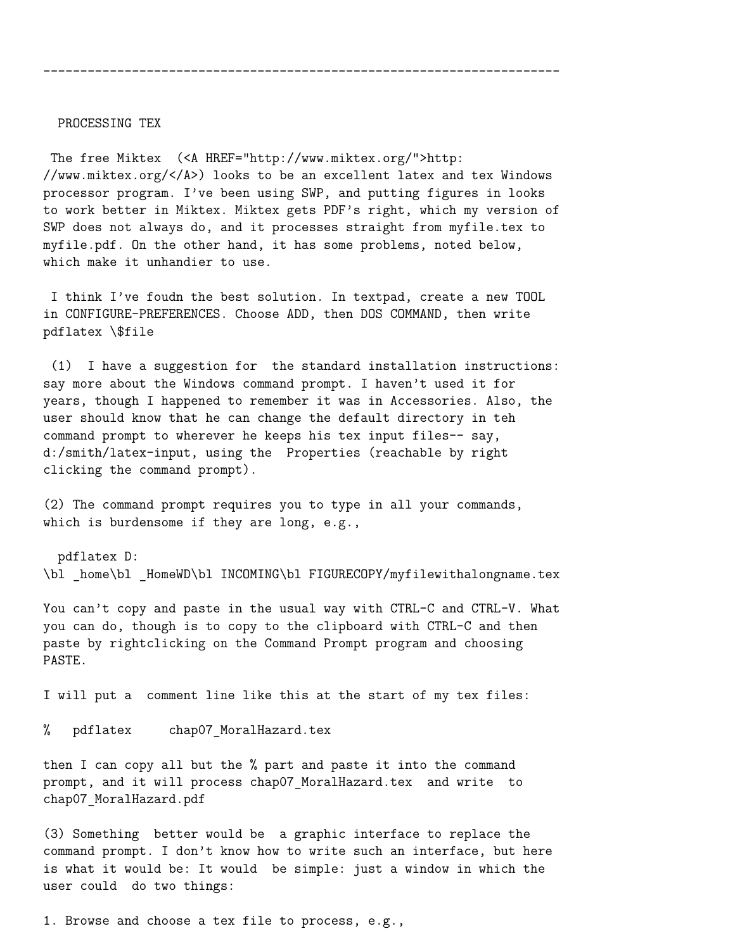#### PROCESSING TEX

The free Miktex (<A HREF="http://www.miktex.org/">http: //www.miktex.org/</A>) looks to be an excellent latex and tex Windows processor program. I've been using SWP, and putting figures in looks to work better in Miktex. Miktex gets PDF's right, which my version of SWP does not always do, and it processes straight from myfile.tex to myfile.pdf. On the other hand, it has some problems, noted below, which make it unhandier to use.

----------------------------------------------------------------------

I think I've foudn the best solution. In textpad, create a new TOOL in CONFIGURE-PREFERENCES. Choose ADD, then DOS COMMAND, then write pdflatex \\$file

(1) I have a suggestion for the standard installation instructions: say more about the Windows command prompt. I haven't used it for years, though I happened to remember it was in Accessories. Also, the user should know that he can change the default directory in teh command prompt to wherever he keeps his tex input files-- say, d:/smith/latex-input, using the Properties (reachable by right clicking the command prompt).

(2) The command prompt requires you to type in all your commands, which is burdensome if they are long, e.g.,

pdflatex D: \bl home\bl HomeWD\bl INCOMING\bl FIGURECOPY/myfilewithalongname.tex

You can't copy and paste in the usual way with CTRL-C and CTRL-V. What you can do, though is to copy to the clipboard with CTRL-C and then paste by rightclicking on the Command Prompt program and choosing PASTE.

I will put a comment line like this at the start of my tex files:

% pdflatex chap07 MoralHazard.tex

then I can copy all but the % part and paste it into the command prompt, and it will process chap07\_MoralHazard.tex and write to chap07\_MoralHazard.pdf

(3) Something better would be a graphic interface to replace the command prompt. I don't know how to write such an interface, but here is what it would be: It would be simple: just a window in which the user could do two things:

1. Browse and choose a tex file to process, e.g.,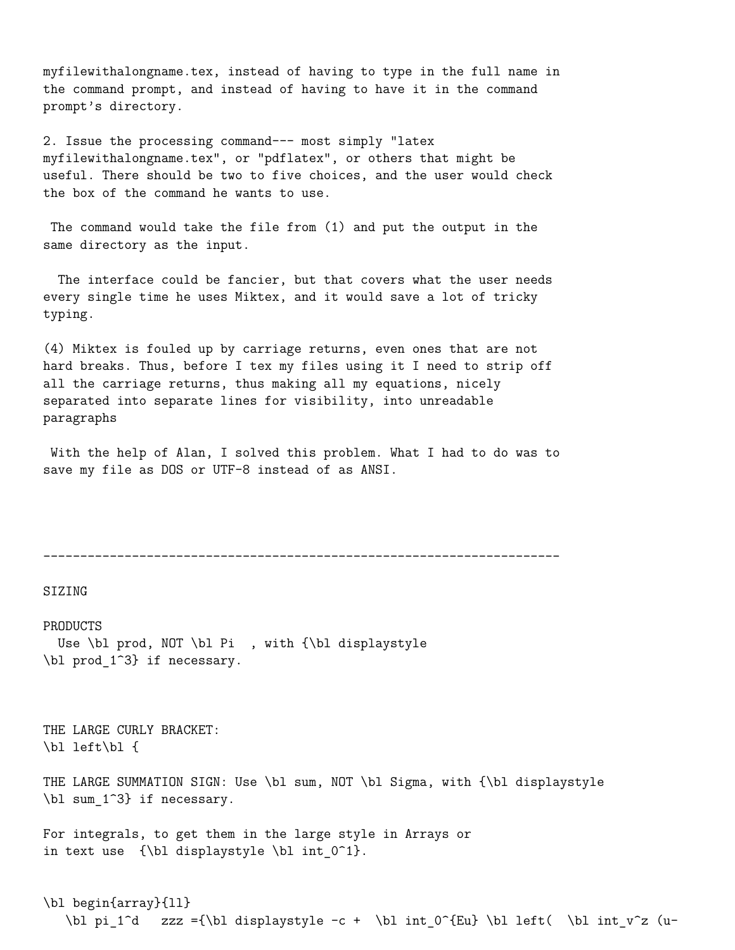myfilewithalongname.tex, instead of having to type in the full name in the command prompt, and instead of having to have it in the command prompt's directory.

2. Issue the processing command--- most simply "latex myfilewithalongname.tex", or "pdflatex", or others that might be useful. There should be two to five choices, and the user would check the box of the command he wants to use.

The command would take the file from (1) and put the output in the same directory as the input.

The interface could be fancier, but that covers what the user needs every single time he uses Miktex, and it would save a lot of tricky typing.

(4) Miktex is fouled up by carriage returns, even ones that are not hard breaks. Thus, before I tex my files using it I need to strip off all the carriage returns, thus making all my equations, nicely separated into separate lines for visibility, into unreadable paragraphs

With the help of Alan, I solved this problem. What I had to do was to save my file as DOS or UTF-8 instead of as ANSI.

----------------------------------------------------------------------

SIZING

PRODUCTS Use \bl prod, NOT \bl Pi , with {\bl displaystyle \bl prod\_1^3} if necessary.

THE LARGE CURLY BRACKET: \bl left\bl {

THE LARGE SUMMATION SIGN: Use \bl sum, NOT \bl Sigma, with {\bl displaystyle \bl sum\_1^3} if necessary.

For integrals, to get them in the large style in Arrays or in text use  ${\b1$  displaystyle \bl int  $0^1$ .

```
\bl begin{array}{ll}
  \bl pi_1^d zzz ={\bl displaystyle -c + \bl int_0^{Eu} \bl left( \bl int_v^z (u-
```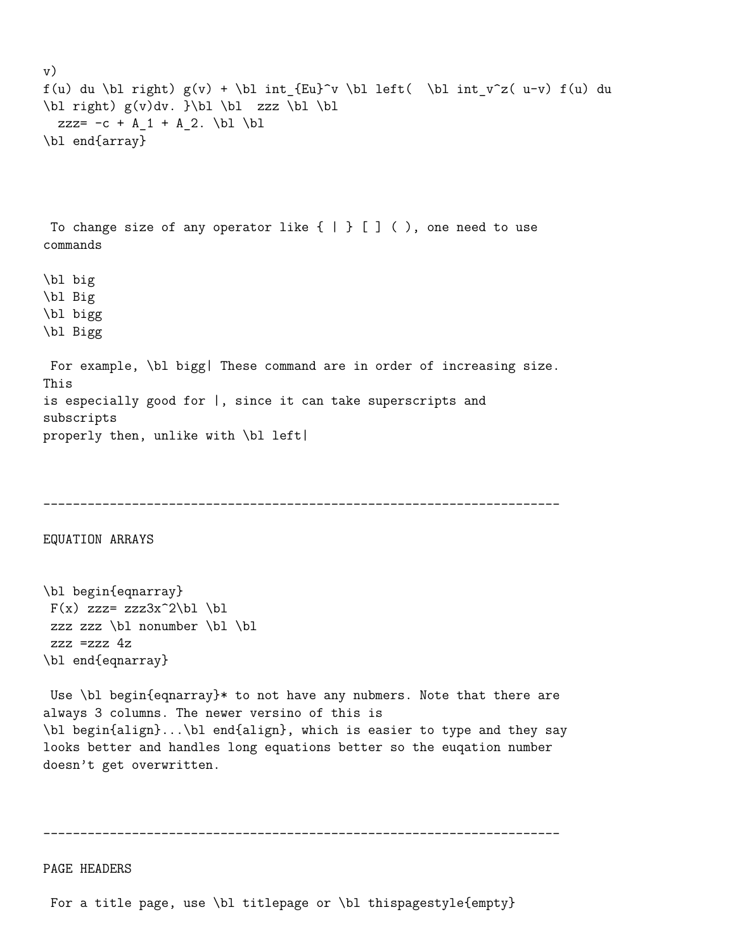```
v)
f(u) du \bl right) g(v) + \b] int_{Eu}^v \b] left( \b) int_v^z(u-v) f(u) du\blacksquare g(v)dv. \blacksquarezzz= -c + A_1 + A_2. \bl \bl
\bl end{array}
To change size of any operator like \{ | \} [] (), one need to use
commands
\bl big
\bl Big
\bl bigg
\bl Bigg
For example, \bl bigg| These command are in order of increasing size.
This
is especially good for |, since it can take superscripts and
subscripts
properly then, unlike with \bl left|
   ----------------------------------------------------------------------
EQUATION ARRAYS
\bl begin{eqnarray}
F(x) zzz= zzz3x^2\bl \bl
zzz zzz \bl nonumber \bl \bl
zzz =zzz 4z\bl end{eqnarray}
Use \bl begin{eqnarray}* to not have any nubmers. Note that there are
always 3 columns. The newer versino of this is
\bl begin{align}...\bl end{align}, which is easier to type and they say
looks better and handles long equations better so the euqation number
doesn't get overwritten.
```
PAGE HEADERS

For a title page, use \bl titlepage or \bl thispagestyle{empty}

----------------------------------------------------------------------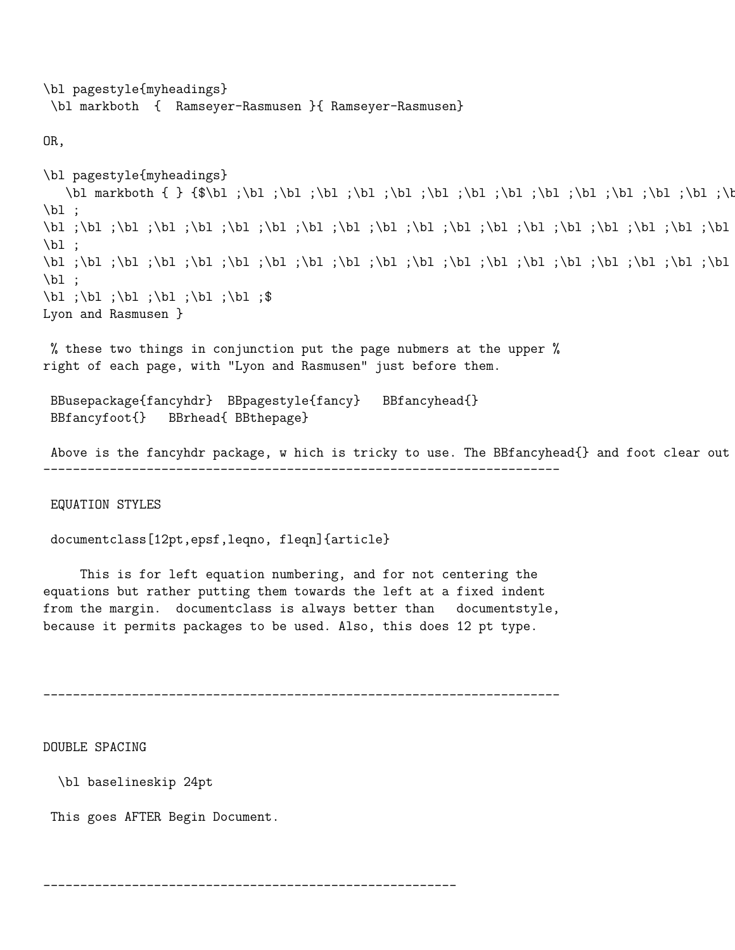\bl pagestyle{myheadings} \bl markboth { Ramseyer-Rasmusen }{ Ramseyer-Rasmusen}

OR,

```
\bl pagestyle{myheadings}
    \bl markboth { } {$\bl ;\bl ;\bl ;\bl ;\bl ;\bl ;\bl ;\bl ;\bl ;\bl ;\bl ;\bl ;\bl ;\bl ;\bl ;\bl ;\bl ;\bl ;\bl ;\bl ;\bl ;\bl ;\bl ;\bl ;\bl ;
\blacksquare\bl ;\bl ;\bl ;\bl ;\bl ;\bl ;\bl ;\bl ;\bl ;\bl ;\bl ;\bl ;\bl ;\bl ;\bl ;\bl ;\bl ;\bl ;\bl ;\bl ;\bl ;\bl ;\bl ;\bl ;\bl ;\bl ;\bl ;\bl ;\bl ;\bl ;\bl ;\bl ;\bl ;\bl ;\bl ;
\blacksquare\bl ;\bl ;\bl ;\bl ;\bl ;\bl ;\bl ;\bl ;\bl ;\bl ;\bl ;\bl ;\bl ;\bl ;\bl ;\bl ;\bl ;\bl ;\bl ;\bl ;\bl ;\bl ;\bl ;\bl ;\bl ;\bl ;\bl ;\bl ;\bl ;\bl ;\bl ;\bl ;\bl ;\bl ;\bl ;
\blacksquare\bl ;\bl ;\bl ;\bl ;\bl ;\bl ;\bl ;$
Lyon and Rasmusen }
```
% these two things in conjunction put the page nubmers at the upper % right of each page, with "Lyon and Rasmusen" just before them.

```
BBusepackage{fancyhdr} BBpagestyle{fancy} BBfancyhead{}
BBfancyfoot{} BBrhead{ BBthepage}
```
Above is the fancyhdr package, w hich is tricky to use. The BBfancyhead{} and foot clear out ----------------------------------------------------------------------

EQUATION STYLES

documentclass[12pt,epsf,leqno, fleqn]{article}

This is for left equation numbering, and for not centering the equations but rather putting them towards the left at a fixed indent from the margin. documentclass is always better than documentstyle, because it permits packages to be used. Also, this does 12 pt type.

```
----------------------------------------------------------------------
```
--------------------------------------------------------

DOUBLE SPACING

\bl baselineskip 24pt

This goes AFTER Begin Document.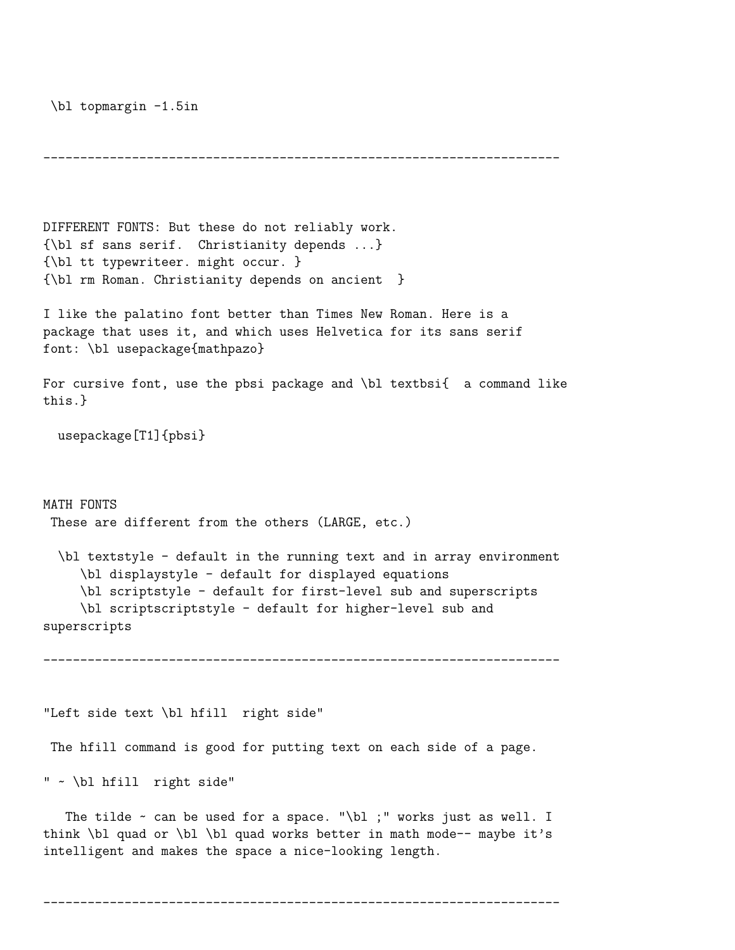\bl topmargin -1.5in

```
----------------------------------------------------------------------
DIFFERENT FONTS: But these do not reliably work.
{\bl sf sans serif. Christianity depends ...}
{\bl tt typewriteer. might occur. }
{\bl rm Roman. Christianity depends on ancient }
I like the palatino font better than Times New Roman. Here is a
package that uses it, and which uses Helvetica for its sans serif
font: \bl usepackage{mathpazo}
For cursive font, use the pbsi package and \bl textbsi{ a command like
this.}
  usepackage[T1]{pbsi}
MATH FONTS
 These are different from the others (LARGE, etc.)
  \bl textstyle - default in the running text and in array environment
     \bl displaystyle - default for displayed equations
     \bl scriptstyle - default for first-level sub and superscripts
     \bl scriptscriptstyle - default for higher-level sub and
superscripts
      ----------------------------------------------------------------------
"Left side text \bl hfill right side"
 The hfill command is good for putting text on each side of a page.
" ~ \bl hfill right side"
   The tilde ~ can be used for a space. "\bl ;" works just as well. I
think \blacksquare and or \blacksquare and works better in math mode-- maybe it's
```
----------------------------------------------------------------------

intelligent and makes the space a nice-looking length.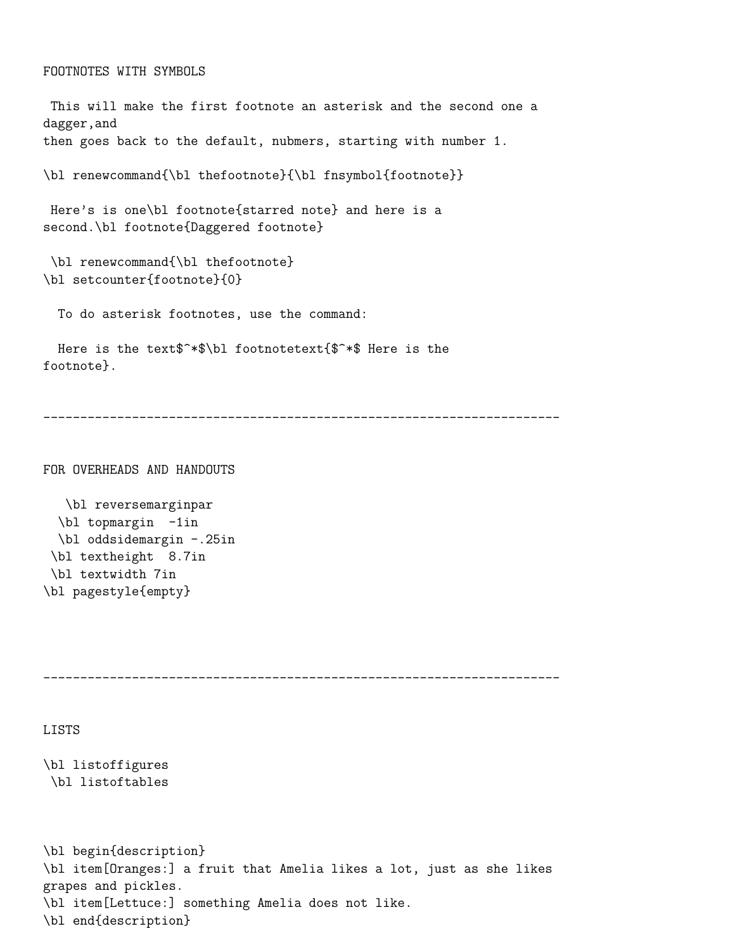```
This will make the first footnote an asterisk and the second one a
dagger,and
then goes back to the default, nubmers, starting with number 1.
\bl renewcommand{\bl thefootnote}{\bl fnsymbol{footnote}}
Here's is one\bl footnote{starred note} and here is a
second.\bl footnote{Daggered footnote}
\bl renewcommand{\bl thefootnote}
\bl setcounter{footnote}{0}
 To do asterisk footnotes, use the command:
 Here is the text$^*$\bl footnotetext{$^*$ Here is the
```
footnote}.

----------------------------------------------------------------------

FOR OVERHEADS AND HANDOUTS

\bl reversemarginpar \bl topmargin -1in \bl oddsidemargin -.25in \bl textheight 8.7in \bl textwidth 7in \bl pagestyle{empty}

----------------------------------------------------------------------

#### LISTS

```
\bl listoffigures
\bl listoftables
```

```
\bl begin{description}
\bl item[Oranges:] a fruit that Amelia likes a lot, just as she likes
grapes and pickles.
\bl item[Lettuce:] something Amelia does not like.
\bl end{description}
```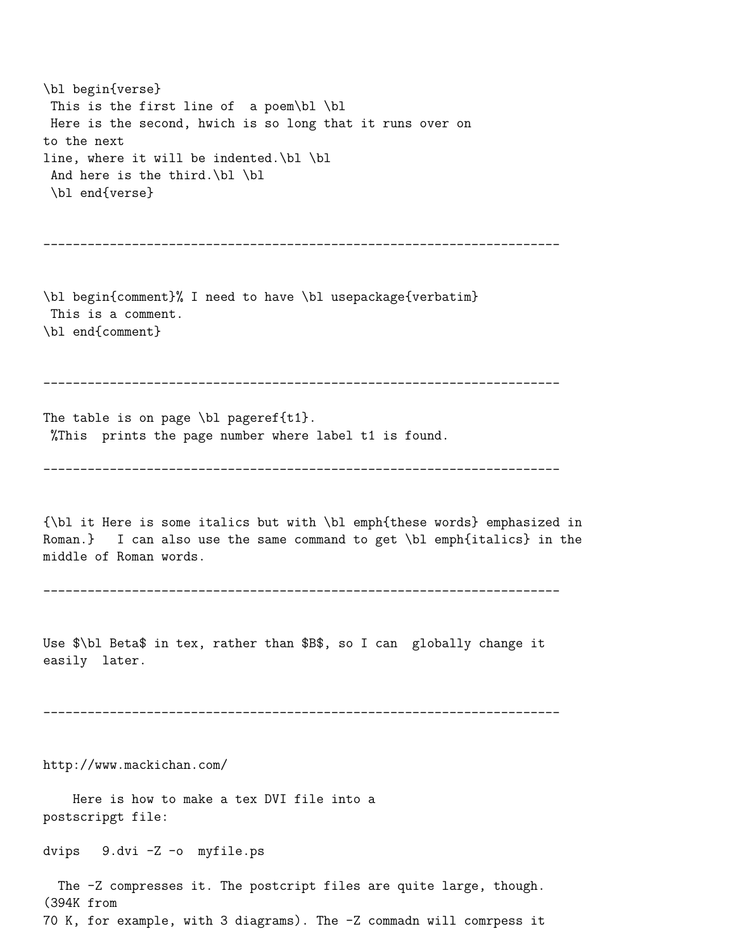\bl begin{verse} This is the first line of a poem\bl \bl Here is the second, hwich is so long that it runs over on to the next line, where it will be indented.\bl \bl And here is the third.\bl \bl \bl end{verse} ---------------------------------------------------------------------- \bl begin{comment}% I need to have \bl usepackage{verbatim} This is a comment. \bl end{comment} ---------------------------------------------------------------------- The table is on page  $\blacksquare$  pageref{t1}. %This prints the page number where label t1 is found. ---------------------------------------------------------------------- {\bl it Here is some italics but with \bl emph{these words} emphasized in Roman.} I can also use the same command to get \bl emph{italics} in the middle of Roman words. ---------------------------------------------------------------------- Use \$\bl Beta\$ in tex, rather than \$B\$, so I can globally change it easily later. --------------------------------------------------------------------- http://www.mackichan.com/ Here is how to make a tex DVI file into a postscripgt file: dvips 9.dvi -Z -o myfile.ps The -Z compresses it. The postcript files are quite large, though. (394K from

```
70 K, for example, with 3 diagrams). The -Z commadn will comrpess it
```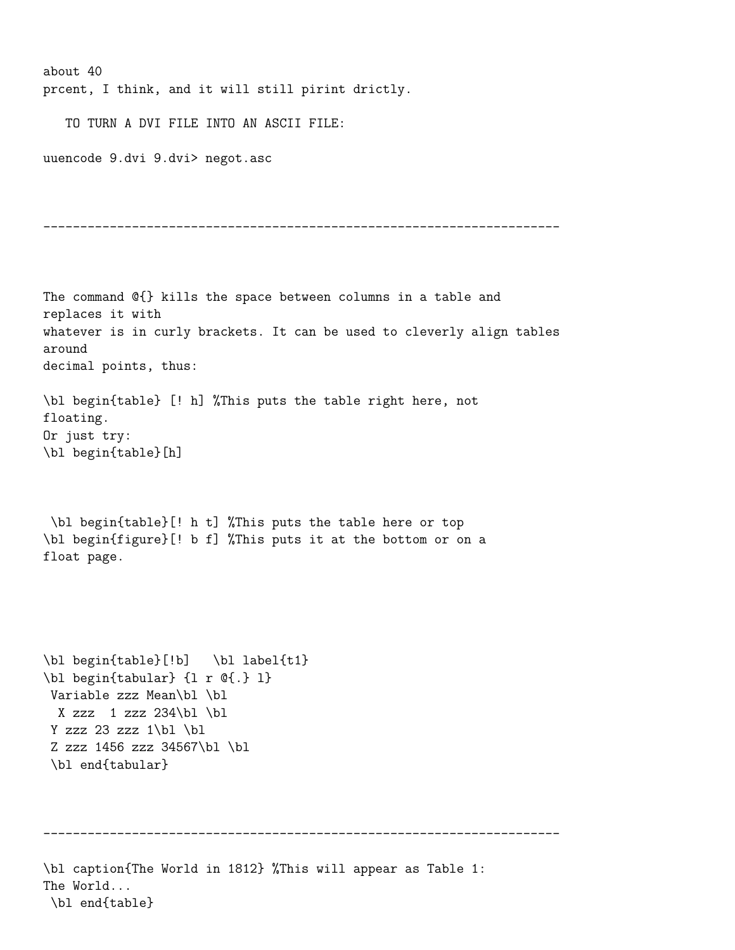about 40 prcent, I think, and it will still pirint drictly.

TO TURN A DVI FILE INTO AN ASCII FILE:

uuencode 9.dvi 9.dvi> negot.asc

```
----------------------------------------------------------------------
```

```
The command @{} kills the space between columns in a table and
replaces it with
whatever is in curly brackets. It can be used to cleverly align tables
around
decimal points, thus:
\bl begin{table} [! h] %This puts the table right here, not
floating.
Or just try:
\bl begin{table}[h]
\bl begin{table}[! h t] %This puts the table here or top
\bl begin{figure}[! b f] %This puts it at the bottom or on a
float page.
\bl begin{table}[!b] \bl label{t1}
\bl begin{tabular} {l r @{.} l}
Variable zzz Mean\bl \bl
 X zzz 1 zzz 234\bl \bl
Y zzz 23 zzz 1\blacksquareZ zzz 1456 zzz 34567\bl \bl
\bl end{tabular}
----------------------------------------------------------------------
\bl caption{The World in 1812} %This will appear as Table 1:
The World...
\bl end{table}
```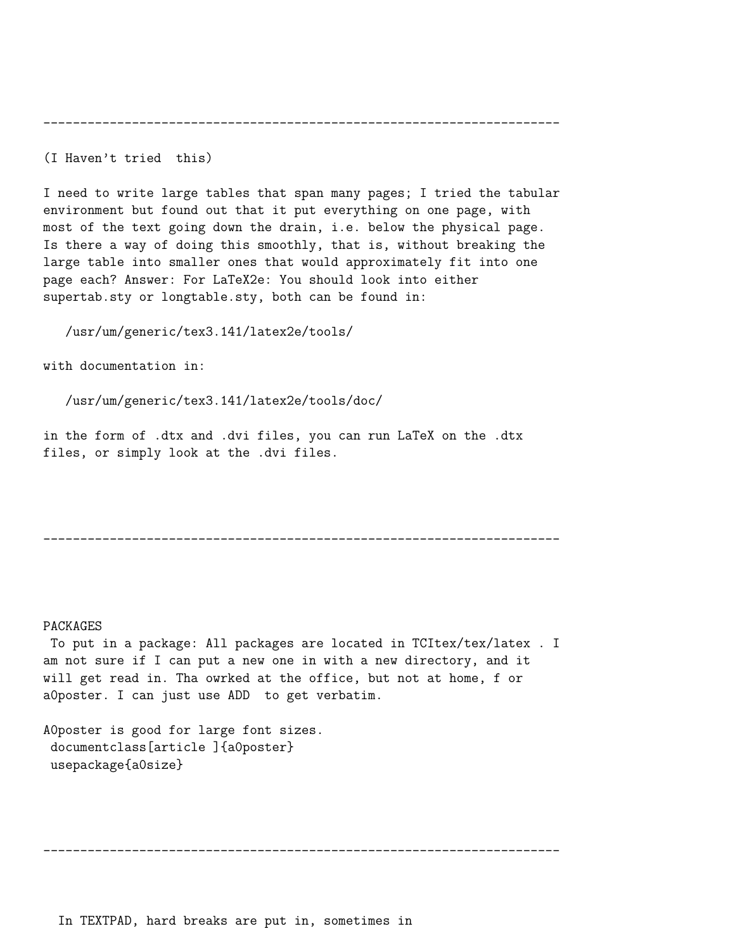----------------------------------------------------------------------

(I Haven't tried this)

I need to write large tables that span many pages; I tried the tabular environment but found out that it put everything on one page, with most of the text going down the drain, i.e. below the physical page. Is there a way of doing this smoothly, that is, without breaking the large table into smaller ones that would approximately fit into one page each? Answer: For LaTeX2e: You should look into either supertab.sty or longtable.sty, both can be found in:

/usr/um/generic/tex3.141/latex2e/tools/

with documentation in:

/usr/um/generic/tex3.141/latex2e/tools/doc/

in the form of .dtx and .dvi files, you can run LaTeX on the .dtx files, or simply look at the .dvi files.

----------------------------------------------------------------------

#### PACKAGES

To put in a package: All packages are located in TCItex/tex/latex . I am not sure if I can put a new one in with a new directory, and it will get read in. Tha owrked at the office, but not at home, f or a0poster. I can just use ADD to get verbatim.

A0poster is good for large font sizes. documentclass[article ]{a0poster} usepackage{a0size}

----------------------------------------------------------------------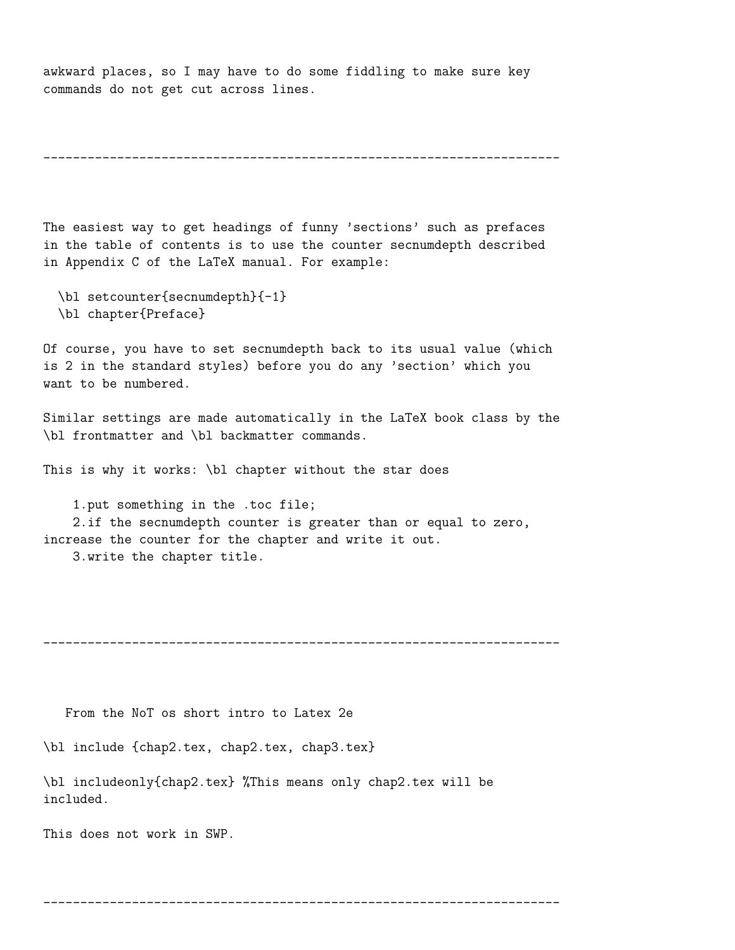awkward places, so I may have to do some fiddling to make sure key commands do not get cut across lines.

```
----------------------------------------------------------------------
```
The easiest way to get headings of funny 'sections' such as prefaces in the table of contents is to use the counter secnumdepth described in Appendix C of the LaTeX manual. For example:

- \bl setcounter{secnumdepth}{-1}
- \bl chapter{Preface}

Of course, you have to set secnumdepth back to its usual value (which is 2 in the standard styles) before you do any 'section' which you want to be numbered.

Similar settings are made automatically in the LaTeX book class by the \bl frontmatter and \bl backmatter commands.

This is why it works: \bl chapter without the star does

1.put something in the .toc file;

2.if the secnumdepth counter is greater than or equal to zero, increase the counter for the chapter and write it out.

3.write the chapter title.

----------------------------------------------------------------------

From the NoT os short intro to Latex 2e

\bl include {chap2.tex, chap2.tex, chap3.tex}

\bl includeonly{chap2.tex} %This means only chap2.tex will be included.

This does not work in SWP.

----------------------------------------------------------------------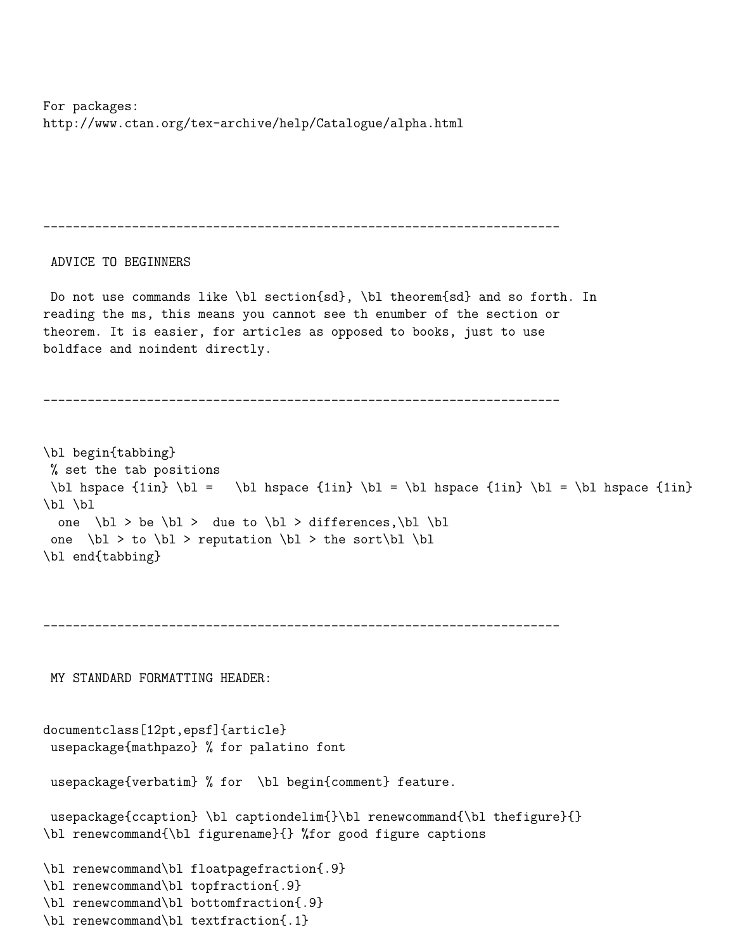For packages: http://www.ctan.org/tex-archive/help/Catalogue/alpha.html

---------------------------------------------------------------------- ADVICE TO BEGINNERS Do not use commands like \bl section{sd}, \bl theorem{sd} and so forth. In reading the ms, this means you cannot see th enumber of the section or theorem. It is easier, for articles as opposed to books, just to use boldface and noindent directly. ---------------------------------------------------------------------- \bl begin{tabbing} % set the tab positions \bl hspace  $\{1in} \b$  = \bl hspace  $\{1in} \b$  = \bl hspace  $\{1in} \b$  = \bl hspace  $\{1in}$ \bl \bl one  $\blacksquare$ bl > be  $\blacksquare$ bl > due to  $\blacksquare$ bl > differences,  $\blacksquare$ bl one  $\blacksquare$   $\blacksquare$   $\blacksquare$   $\blacksquare$   $\blacksquare$   $\blacksquare$   $\blacksquare$   $\blacksquare$   $\blacksquare$   $\blacksquare$ \bl end{tabbing} ---------------------------------------------------------------------- MY STANDARD FORMATTING HEADER: documentclass[12pt,epsf]{article} usepackage{mathpazo} % for palatino font usepackage{verbatim} % for \bl begin{comment} feature. usepackage{ccaption} \bl captiondelim{}\bl renewcommand{\bl thefigure}{} \bl renewcommand{\bl figurename}{} %for good figure captions \bl renewcommand\bl floatpagefraction{.9}

```
\bl renewcommand\bl topfraction{.9}
```

```
\bl renewcommand\bl bottomfraction{.9}
```

```
\bl renewcommand\bl textfraction{.1}
```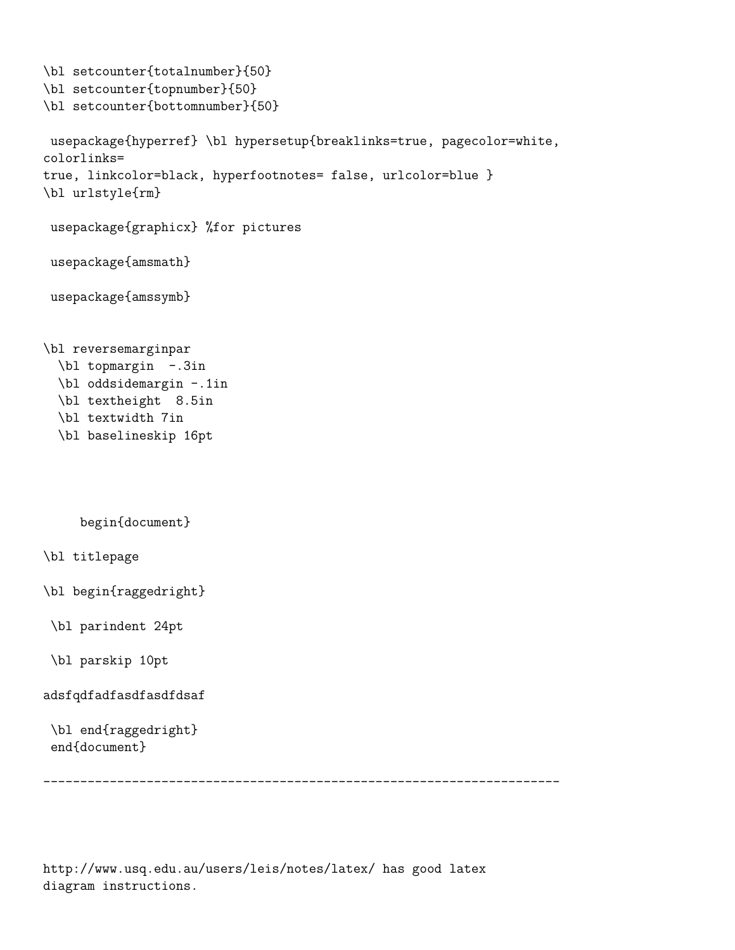```
\bl setcounter{totalnumber}{50}
\bl setcounter{topnumber}{50}
\bl setcounter{bottomnumber}{50}
usepackage{hyperref} \bl hypersetup{breaklinks=true, pagecolor=white,
colorlinks=
true, linkcolor=black, hyperfootnotes= false, urlcolor=blue }
\bl urlstyle{rm}
usepackage{graphicx} %for pictures
usepackage{amsmath}
usepackage{amssymb}
\bl reversemarginpar
  \bl topmargin -.3in
  \bl oddsidemargin -.1in
  \bl textheight 8.5in
  \bl textwidth 7in
  \bl baselineskip 16pt
     begin{document}
\bl titlepage
\bl begin{raggedright}
\bl parindent 24pt
 \bl parskip 10pt
adsfqdfadfasdfasdfdsaf
 \bl end{raggedright}
 end{document}
 ----------------------------------------------------------------------
```
http://www.usq.edu.au/users/leis/notes/latex/ has good latex diagram instructions.